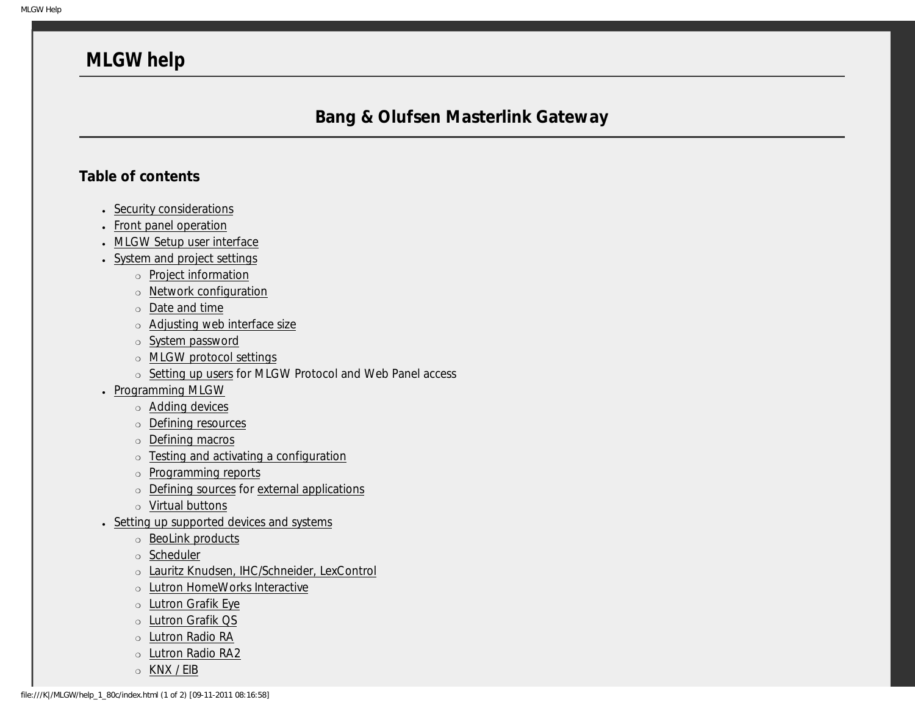# <span id="page-0-0"></span>**MLGW help**

## **Bang & Olufsen Masterlink Gateway**

### **Table of contents**

- [Security considerations](#page-2-0)
- [Front panel operation](#page-4-0)
- [MLGW Setup user interface](#page-6-0)
- [System and project settings](#page-7-0)
	- ❍ [Project information](#page-7-0)
	- ❍ [Network configuration](#page-8-0)
	- ❍ [Date and time](#page-9-0)
	- ❍ [Adjusting web interface size](#page-9-1)
	- ❍ [System password](#page-10-0)
	- ❍ [MLGW protocol settings](#page-10-1)
	- ❍ [Setting up users](#page-12-0) for MLGW Protocol and Web Panel access
- Programming MLGW
	- ❍ [Adding devices](#page-14-1)
	- ❍ [Defining resources](#page-15-0)
	- ❍ [Defining macros](#page-16-0)
	- ❍ [Testing and activating a configuration](#page-17-0)
	- ❍ [Programming reports](#page-17-1)
	- ❍ [Defining sources](#page-18-0) for [external applications](#page-20-0)
	- ❍ [Virtual buttons](#page-21-0)
- [Setting up supported devices and systems](#page-23-0)
	- o [BeoLink products](#page-23-1)
	- ❍ [Scheduler](#page-26-0)
	- ❍ [Lauritz Knudsen, IHC/Schneider, LexControl](#page-26-1)
	- ❍ [Lutron HomeWorks Interactive](#page-27-0)
	- ❍ [Lutron Grafik Eye](#page-28-0)
	- o [Lutron Grafik QS](#page-29-0)
	- ❍ [Lutron Radio RA](#page-30-0)
	- ❍ [Lutron Radio RA2](#page-31-0)
	- ❍ [KNX / EIB](#page-32-0)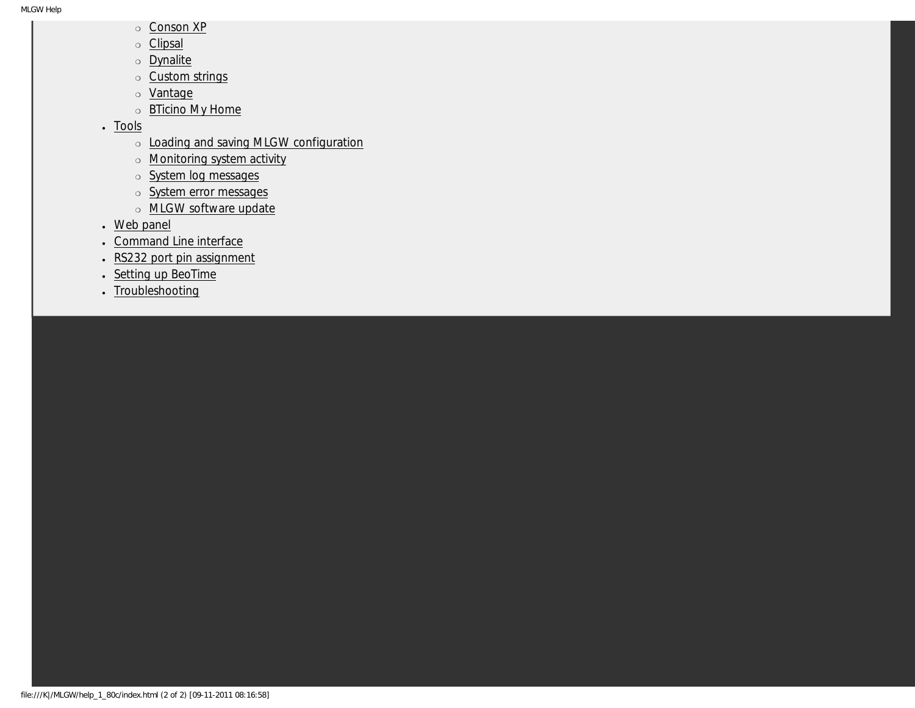MLGW Help

- ❍ [Conson XP](#page-34-0)
- ❍ [Clipsal](#page-35-0)
- ❍ [Dynalite](#page-35-1)
- ❍ [Custom strings](#page-37-0)
- ❍ [Vantage](#page-36-0)
- ❍ [BTicino My Home](#page-37-1)
- [Tools](#page-41-0)
	- o [Loading and saving MLGW configuration](#page-41-1)
	- ❍ [Monitoring system activity](#page-41-2)
	- ❍ [System log messages](#page-42-0)
	- ❍ [System error messages](#page-42-1)
	- o [MLGW software update](#page-42-2)
- [Web panel](#page-44-0)
- [Command Line interface](#page-46-0)
- [RS232 port pin assignment](#page-49-0)
- [Setting up BeoTime](#page-50-0)
- [Troubleshooting](#page-52-0)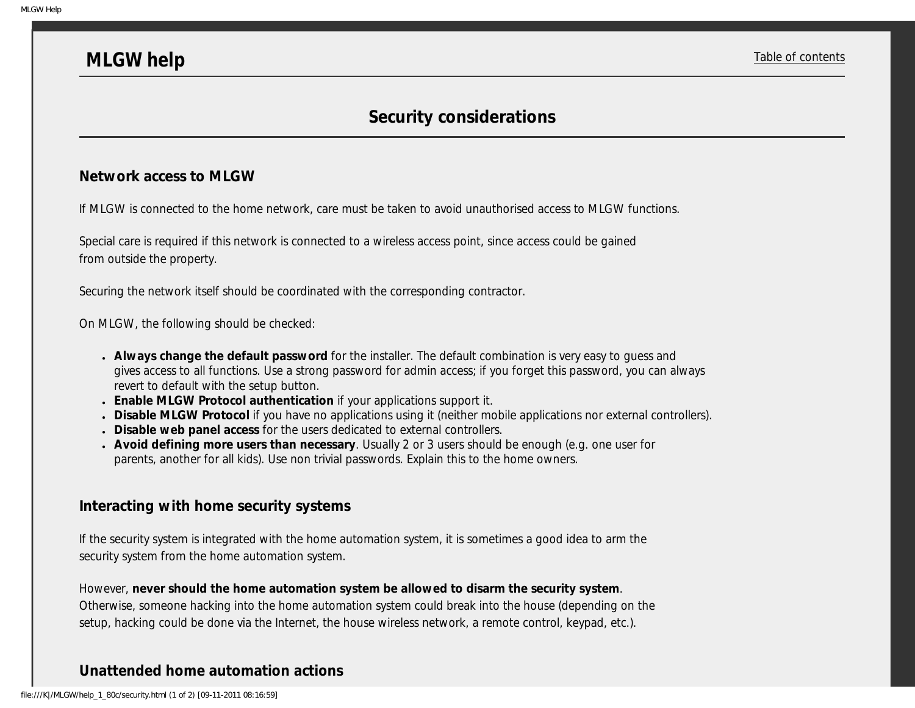### **Security considerations**

### <span id="page-2-0"></span>**Network access to MLGW**

If MLGW is connected to the home network, care must be taken to avoid unauthorised access to MLGW functions.

Special care is required if this network is connected to a wireless access point, since access could be gained from outside the property.

Securing the network itself should be coordinated with the corresponding contractor.

On MLGW, the following should be checked:

- **Always change the default password** for the installer. The default combination is very easy to quess and gives access to all functions. Use a strong password for admin access; if you forget this password, you can always revert to default with the setup button.
- **Enable MLGW Protocol authentication** if your applications support it.
- **Disable MLGW Protocol** if you have no applications using it (neither mobile applications nor external controllers).
- **Disable web panel access** for the users dedicated to external controllers.
- **Avoid defining more users than necessary**. Usually 2 or 3 users should be enough (e.g. one user for parents, another for all kids). Use non trivial passwords. Explain this to the home owners.

### **Interacting with home security systems**

If the security system is integrated with the home automation system, it is sometimes a good idea to arm the security system from the home automation system.

However, **never should the home automation system be allowed to disarm the security system**. Otherwise, someone hacking into the home automation system could break into the house (depending on the setup, hacking could be done via the Internet, the house wireless network, a remote control, keypad, etc.).

### **Unattended home automation actions**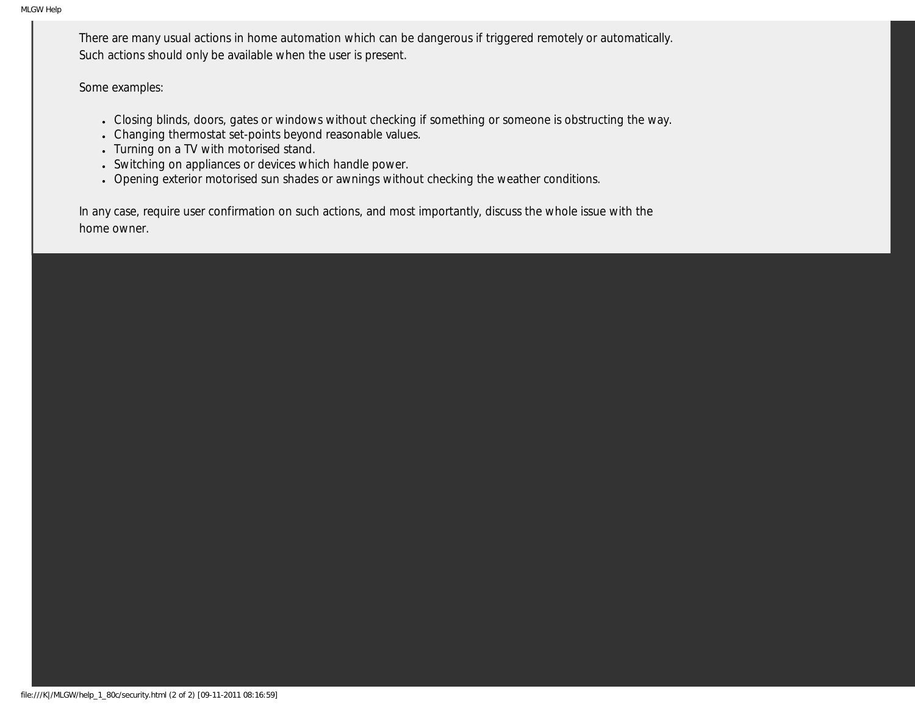There are many usual actions in home automation which can be dangerous if triggered remotely or automatically. Such actions should only be available when the user is present.

Some examples:

- Closing blinds, doors, gates or windows without checking if something or someone is obstructing the way.
- Changing thermostat set-points beyond reasonable values.
- Turning on a TV with motorised stand.
- Switching on appliances or devices which handle power.
- Opening exterior motorised sun shades or awnings without checking the weather conditions.

In any case, require user confirmation on such actions, and most importantly, discuss the whole issue with the home owner.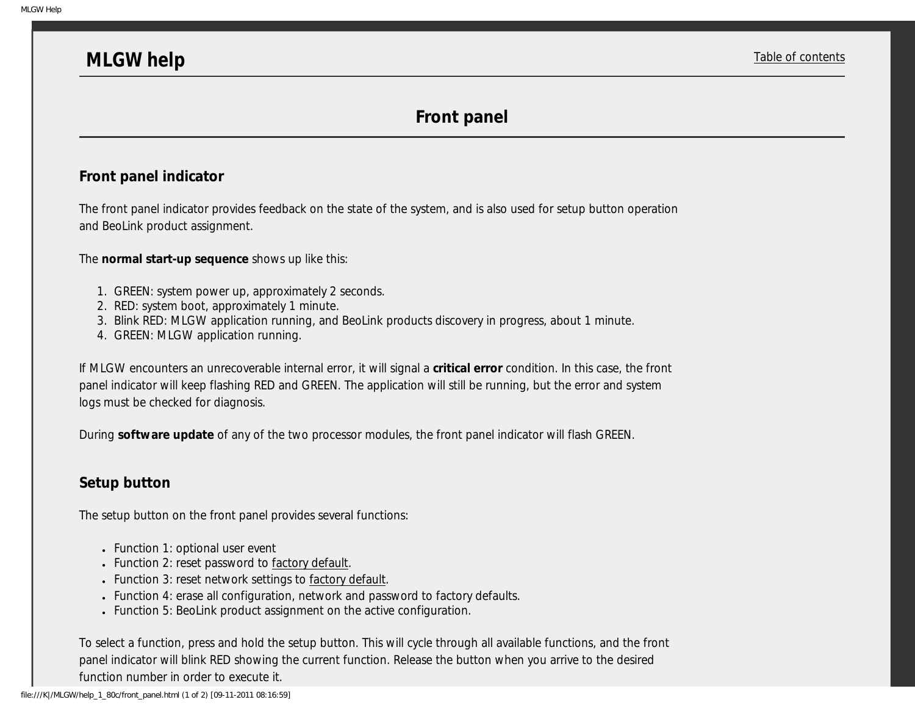## **Front panel**

### <span id="page-4-0"></span>**Front panel indicator**

The front panel indicator provides feedback on the state of the system, and is also used for setup button operation and BeoLink product assignment.

The **normal start-up sequence** shows up like this:

- 1. GREEN: system power up, approximately 2 seconds.
- 2. RED: system boot, approximately 1 minute.
- 3. Blink RED: MLGW application running, and BeoLink products discovery in progress, about 1 minute.
- 4. GREEN: MLGW application running.

If MLGW encounters an unrecoverable internal error, it will signal a **critical error** condition. In this case, the front panel indicator will keep flashing RED and GREEN. The application will still be running, but the error and system logs must be checked for diagnosis.

During **software update** of any of the two processor modules, the front panel indicator will flash GREEN.

### **Setup button**

The setup button on the front panel provides several functions:

- Function 1: optional user event
- Function 2: reset password to [factory default](#page-10-0).
- Function 3: reset network settings to [factory default.](#page-8-0)
- Function 4: erase all configuration, network and password to factory defaults.
- Function 5: BeoLink product assignment on the active configuration.

To select a function, press and hold the setup button. This will cycle through all available functions, and the front panel indicator will blink RED showing the current function. Release the button when you arrive to the desired function number in order to execute it.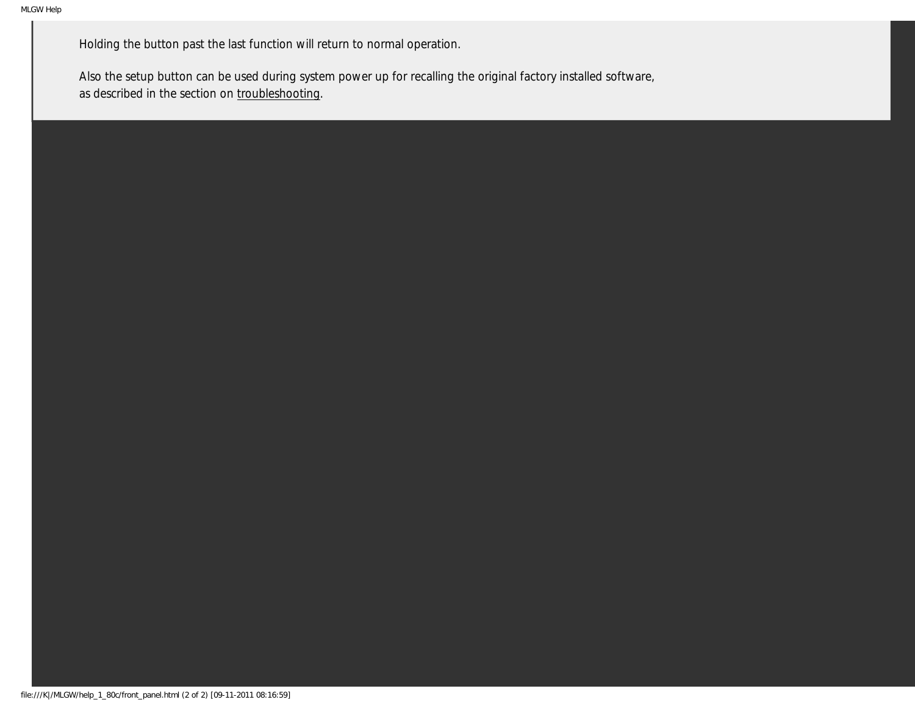Holding the button past the last function will return to normal operation.

Also the setup button can be used during system power up for recalling the original factory installed software, as described in the section on [troubleshooting](#page-52-0).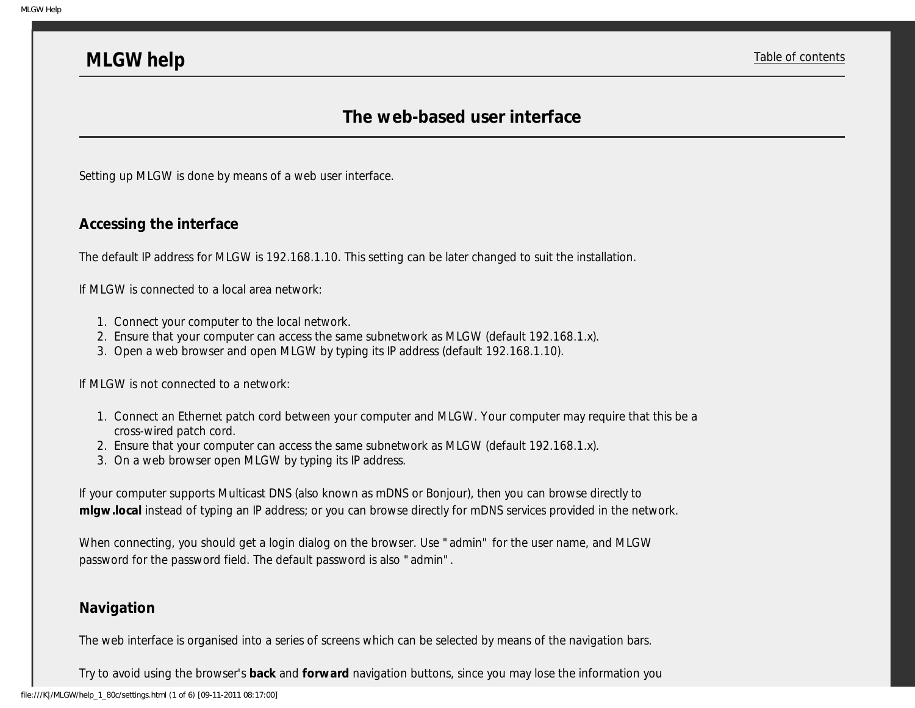### **The web-based user interface**

<span id="page-6-0"></span>Setting up MLGW is done by means of a web user interface.

### **Accessing the interface**

The default IP address for MLGW is 192.168.1.10. This setting can be later changed to suit the installation.

If MLGW is connected to a local area network:

- 1. Connect your computer to the local network.
- 2. Ensure that your computer can access the same subnetwork as MLGW (default 192.168.1.x).
- 3. Open a web browser and open MLGW by typing its IP address (default 192.168.1.10).

If MLGW is not connected to a network:

- 1. Connect an Ethernet patch cord between your computer and MLGW. Your computer may require that this be a cross-wired patch cord.
- 2. Ensure that your computer can access the same subnetwork as MLGW (default 192.168.1.x).
- 3. On a web browser open MLGW by typing its IP address.

If your computer supports Multicast DNS (also known as mDNS or Bonjour), then you can browse directly to **mlgw.local** instead of typing an IP address; or you can browse directly for mDNS services provided in the network.

When connecting, you should get a login dialog on the browser. Use "admin" for the user name, and MLGW password for the password field. The default password is also "admin".

#### **Navigation**

The web interface is organised into a series of screens which can be selected by means of the navigation bars.

Try to avoid using the browser's **back** and **forward** navigation buttons, since you may lose the information you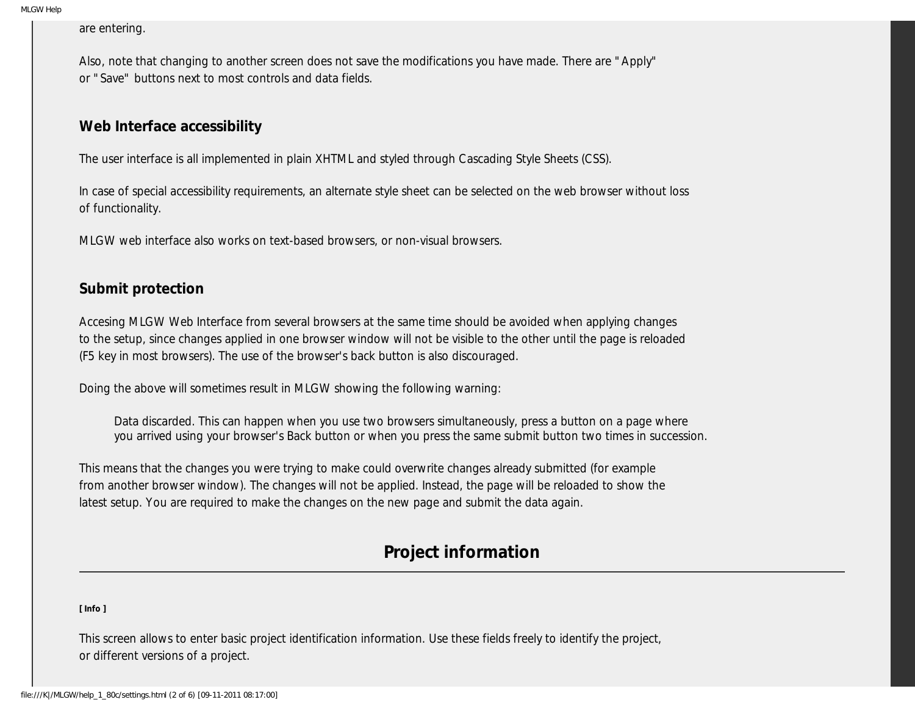#### are entering.

Also, note that changing to another screen does not save the modifications you have made. There are "Apply" or "Save" buttons next to most controls and data fields.

### **Web Interface accessibility**

The user interface is all implemented in plain XHTML and styled through Cascading Style Sheets (CSS).

In case of special accessibility requirements, an alternate style sheet can be selected on the web browser without loss of functionality.

MLGW web interface also works on text-based browsers, or non-visual browsers.

### **Submit protection**

Accesing MLGW Web Interface from several browsers at the same time should be avoided when applying changes to the setup, since changes applied in one browser window will not be visible to the other until the page is reloaded (F5 key in most browsers). The use of the browser's back button is also discouraged.

Doing the above will sometimes result in MLGW showing the following warning:

Data discarded. This can happen when you use two browsers simultaneously, press a button on a page where you arrived using your browser's Back button or when you press the same submit button two times in succession.

<span id="page-7-0"></span>This means that the changes you were trying to make could overwrite changes already submitted (for example from another browser window). The changes will not be applied. Instead, the page will be reloaded to show the latest setup. You are required to make the changes on the new page and submit the data again.

# **Project information**

**[ Info ]**

This screen allows to enter basic project identification information. Use these fields freely to identify the project, or different versions of a project.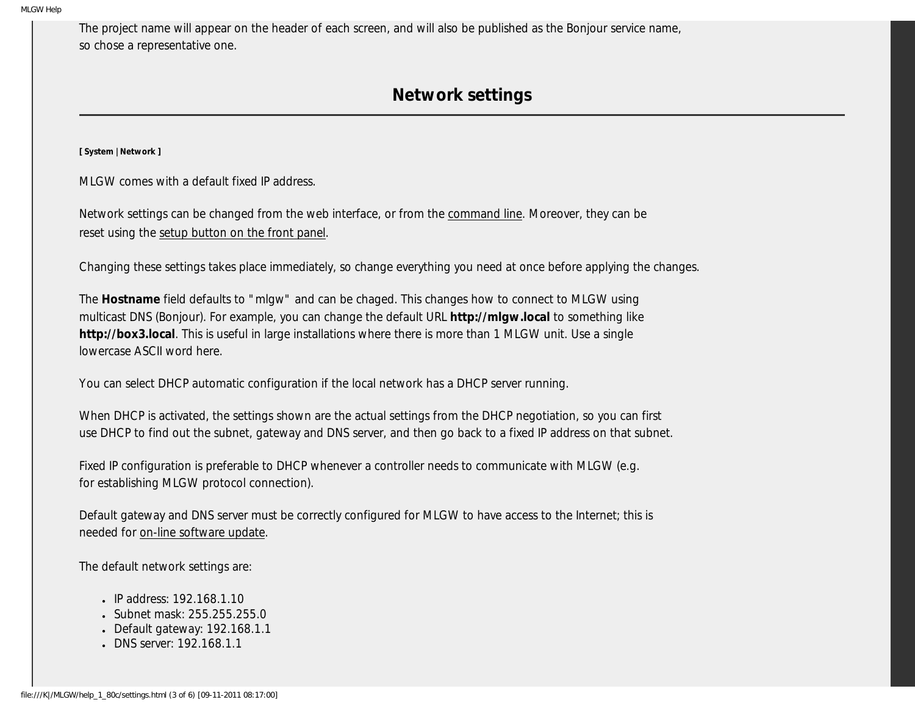<span id="page-8-0"></span>The project name will appear on the header of each screen, and will also be published as the Bonjour service name, so chose a representative one.

## **Network settings**

**[ System | Network ]**

MLGW comes with a default fixed IP address.

Network settings can be changed from the web interface, or from the [command line.](#page-46-0) Moreover, they can be reset using the [setup button on the front panel.](#page-4-0)

Changing these settings takes place immediately, so change everything you need at once before applying the changes.

The **Hostname** field defaults to "mlgw" and can be chaged. This changes how to connect to MLGW using multicast DNS (Bonjour). For example, you can change the default URL **http://mlgw.local** to something like **http://box3.local**. This is useful in large installations where there is more than 1 MLGW unit. Use a single lowercase ASCII word here.

You can select DHCP automatic configuration if the local network has a DHCP server running.

When DHCP is activated, the settings shown are the actual settings from the DHCP negotiation, so you can first use DHCP to find out the subnet, gateway and DNS server, and then go back to a fixed IP address on that subnet.

Fixed IP configuration is preferable to DHCP whenever a controller needs to communicate with MLGW (e.g. for establishing MLGW protocol connection).

Default gateway and DNS server must be correctly configured for MLGW to have access to the Internet; this is needed for [on-line software update](#page-42-2).

The default network settings are:

- IP address: 192.168.1.10
- Subnet mask: 255.255.255.0
- Default gateway:  $192.168.1.1$
- DNS server: 192.168.1.1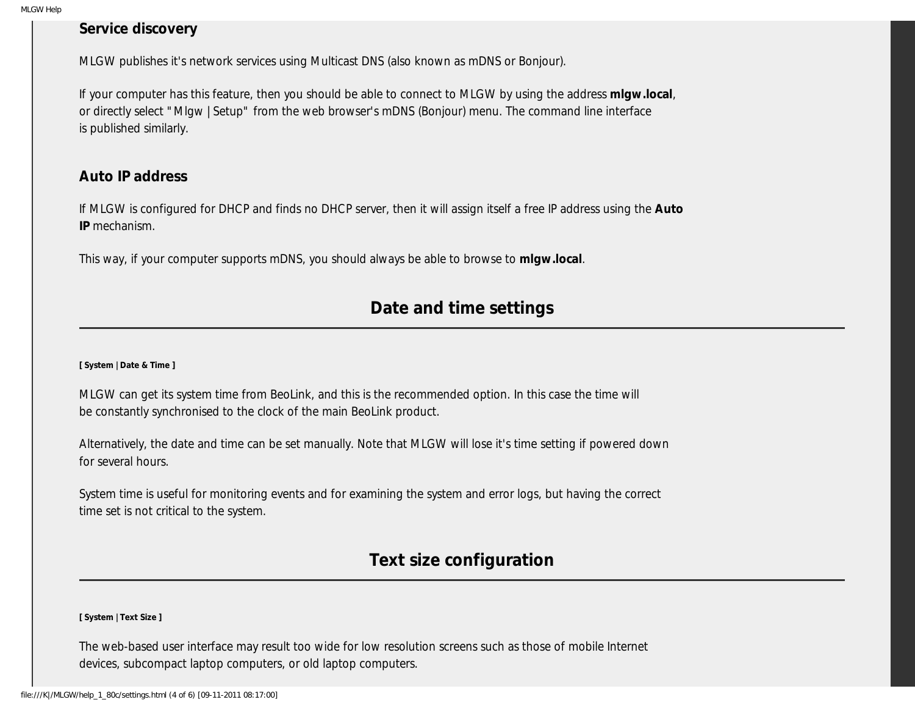### **Service discovery**

MLGW publishes it's network services using Multicast DNS (also known as mDNS or Bonjour).

If your computer has this feature, then you should be able to connect to MLGW by using the address **mlgw.local**, or directly select "Mlgw | Setup" from the web browser's mDNS (Bonjour) menu. The command line interface is published similarly.

### **Auto IP address**

If MLGW is configured for DHCP and finds no DHCP server, then it will assign itself a free IP address using the **Auto IP** mechanism.

<span id="page-9-0"></span>This way, if your computer supports mDNS, you should always be able to browse to **mlgw.local**.

# **Date and time settings**

#### **[ System | Date & Time ]**

MLGW can get its system time from BeoLink, and this is the recommended option. In this case the time will be constantly synchronised to the clock of the main BeoLink product.

Alternatively, the date and time can be set manually. Note that MLGW will lose it's time setting if powered down for several hours.

<span id="page-9-1"></span>System time is useful for monitoring events and for examining the system and error logs, but having the correct time set is not critical to the system.

## **Text size configuration**

#### **[ System | Text Size ]**

The web-based user interface may result too wide for low resolution screens such as those of mobile Internet devices, subcompact laptop computers, or old laptop computers.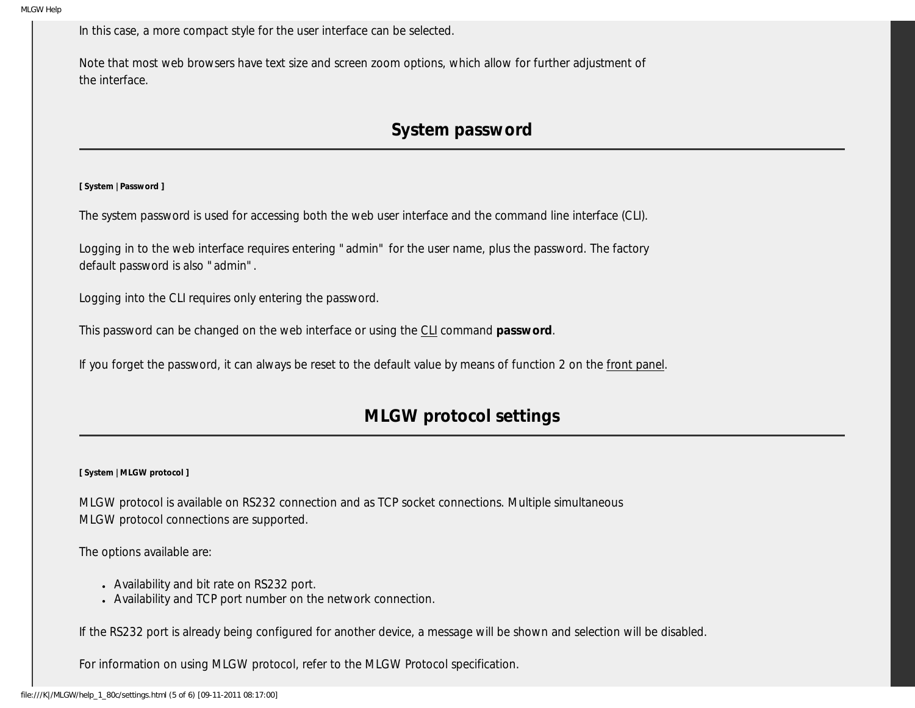In this case, a more compact style for the user interface can be selected.

<span id="page-10-0"></span>Note that most web browsers have text size and screen zoom options, which allow for further adjustment of the interface.

## **System password**

**[ System | Password ]**

The system password is used for accessing both the web user interface and the command line interface (CLI).

Logging in to the web interface requires entering "admin" for the user name, plus the password. The factory default password is also "admin".

Logging into the CLI requires only entering the password.

This password can be changed on the web interface or using the [CLI](#page-46-0) command **password**.

<span id="page-10-1"></span>If you forget the password, it can always be reset to the default value by means of function 2 on the [front panel](#page-4-0).

# **MLGW protocol settings**

**[ System | MLGW protocol ]**

MLGW protocol is available on RS232 connection and as TCP socket connections. Multiple simultaneous MLGW protocol connections are supported.

The options available are:

- Availability and bit rate on RS232 port.
- Availability and TCP port number on the network connection.

If the RS232 port is already being configured for another device, a message will be shown and selection will be disabled.

For information on using MLGW protocol, refer to the MLGW Protocol specification.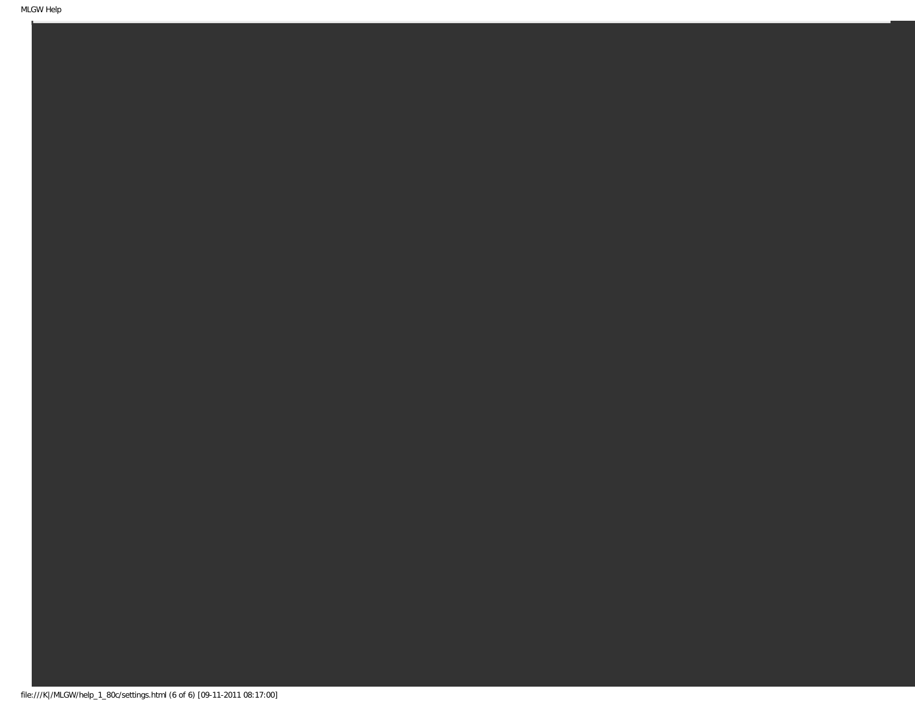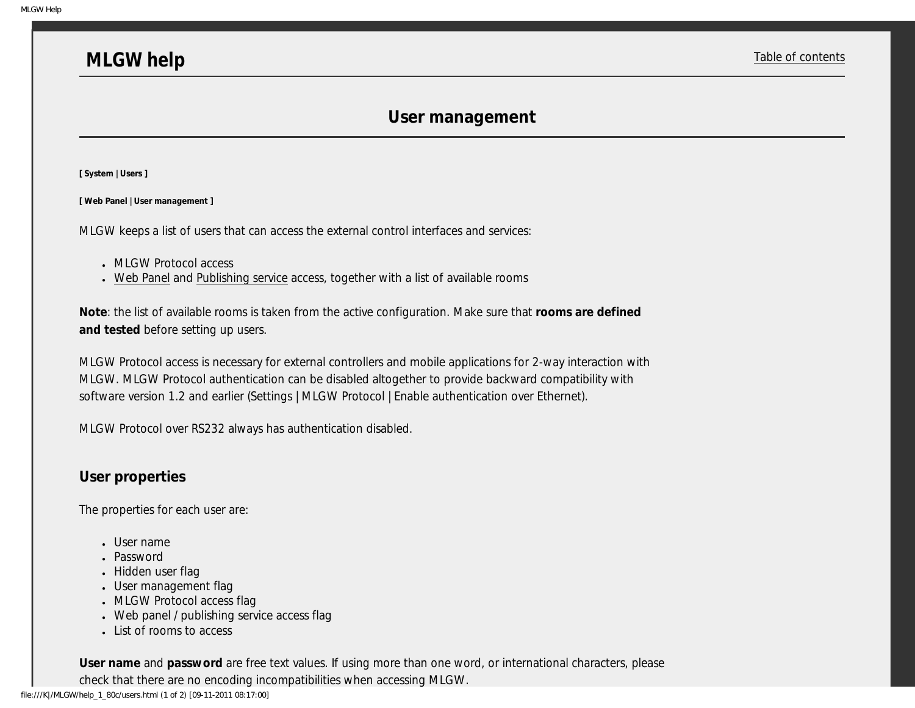### **User management**

<span id="page-12-0"></span>**[ System | Users ]**

**[ Web Panel | User management ]**

MLGW keeps a list of users that can access the external control interfaces and services:

- MLGW Protocol access
- [Web Panel](#page-44-0) and [Publishing service](#page-20-0) access, together with a list of available rooms

**Note**: the list of available rooms is taken from the active configuration. Make sure that **rooms are defined and tested** before setting up users.

MLGW Protocol access is necessary for external controllers and mobile applications for 2-way interaction with MLGW. MLGW Protocol authentication can be disabled altogether to provide backward compatibility with software version 1.2 and earlier (Settings | MLGW Protocol | Enable authentication over Ethernet).

MLGW Protocol over RS232 always has authentication disabled.

### **User properties**

The properties for each user are:

- . User name
- Password
- Hidden user flag
- User management flag
- MLGW Protocol access flag
- Web panel / publishing service access flag
- List of rooms to access

**User name** and **password** are free text values. If using more than one word, or international characters, please

check that there are no encoding incompatibilities when accessing MLGW.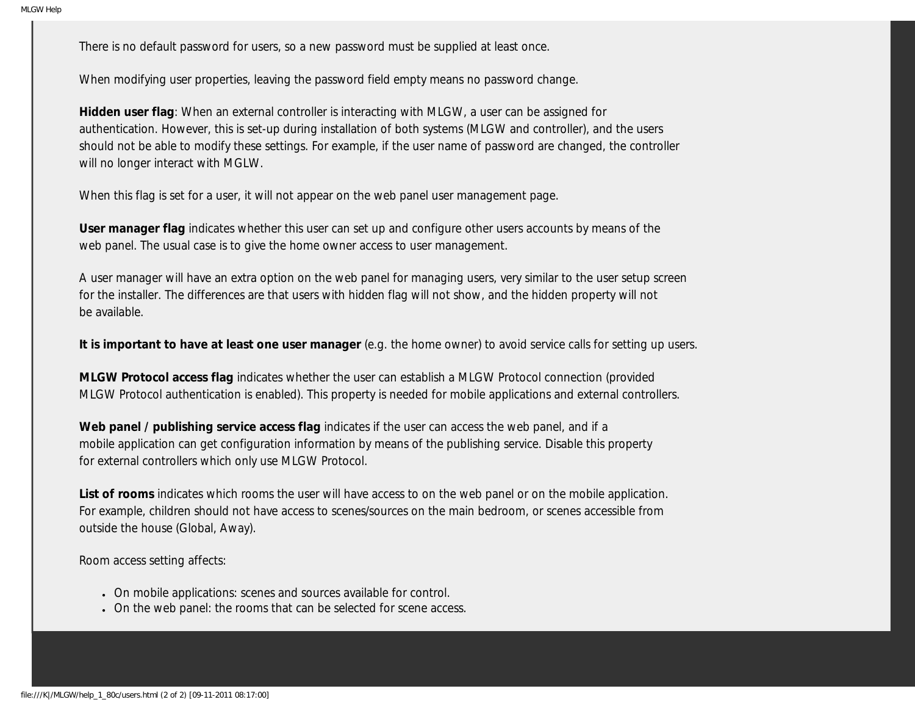There is no default password for users, so a new password must be supplied at least once.

When modifying user properties, leaving the password field empty means no password change.

**Hidden user flag**: When an external controller is interacting with MLGW, a user can be assigned for authentication. However, this is set-up during installation of both systems (MLGW and controller), and the users should not be able to modify these settings. For example, if the user name of password are changed, the controller will no longer interact with MGLW.

When this flag is set for a user, it will not appear on the web panel user management page.

**User manager flag** indicates whether this user can set up and configure other users accounts by means of the web panel. The usual case is to give the home owner access to user management.

A user manager will have an extra option on the web panel for managing users, very similar to the user setup screen for the installer. The differences are that users with hidden flag will not show, and the hidden property will not be available.

**It is important to have at least one user manager** (e.g. the home owner) to avoid service calls for setting up users.

**MLGW Protocol access flag** indicates whether the user can establish a MLGW Protocol connection (provided MLGW Protocol authentication is enabled). This property is needed for mobile applications and external controllers.

Web panel / publishing service access flag indicates if the user can access the web panel, and if a mobile application can get configuration information by means of the publishing service. Disable this property for external controllers which only use MLGW Protocol.

List of rooms indicates which rooms the user will have access to on the web panel or on the mobile application. For example, children should not have access to scenes/sources on the main bedroom, or scenes accessible from outside the house (Global, Away).

Room access setting affects:

- On mobile applications: scenes and sources available for control.
- On the web panel: the rooms that can be selected for scene access.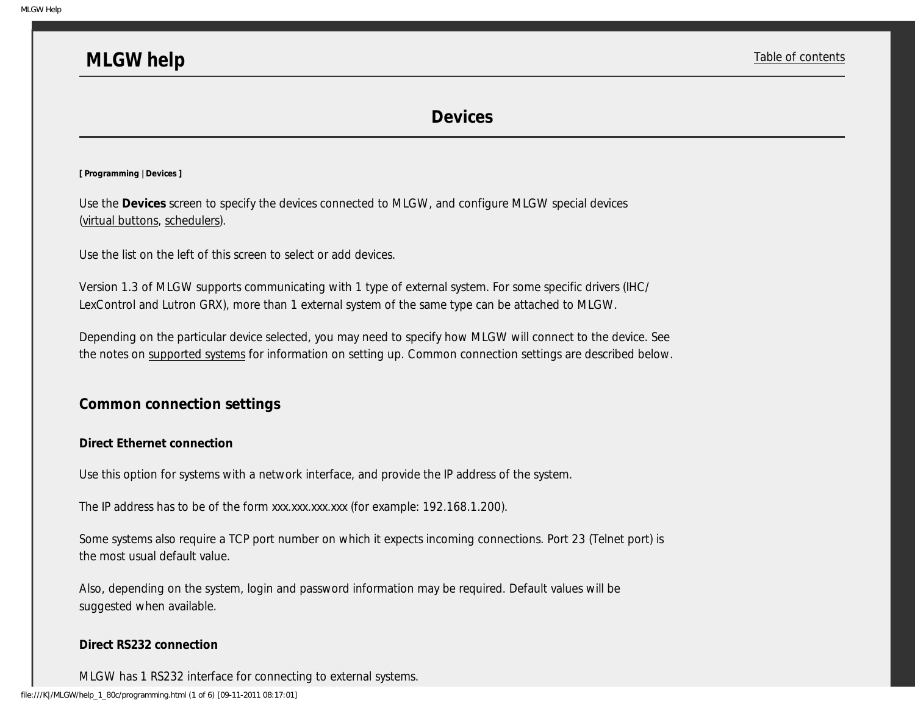### **Devices**

<span id="page-14-1"></span><span id="page-14-0"></span>**[ Programming | Devices ]**

Use the **Devices** screen to specify the devices connected to MLGW, and configure MLGW special devices [\(virtual buttons,](#page-21-0) [schedulers\)](#page-26-0).

Use the list on the left of this screen to select or add devices.

Version 1.3 of MLGW supports communicating with 1 type of external system. For some specific drivers (IHC/ LexControl and Lutron GRX), more than 1 external system of the same type can be attached to MLGW.

Depending on the particular device selected, you may need to specify how MLGW will connect to the device. See the notes on [supported systems](#page-23-0) for information on setting up. Common connection settings are described below.

#### **Common connection settings**

#### **Direct Ethernet connection**

Use this option for systems with a network interface, and provide the IP address of the system.

The IP address has to be of the form xxx.xxx.xxx.xxx (for example: 192.168.1.200).

Some systems also require a TCP port number on which it expects incoming connections. Port 23 (Telnet port) is the most usual default value.

Also, depending on the system, login and password information may be required. Default values will be suggested when available.

#### **Direct RS232 connection**

MLGW has 1 RS232 interface for connecting to external systems.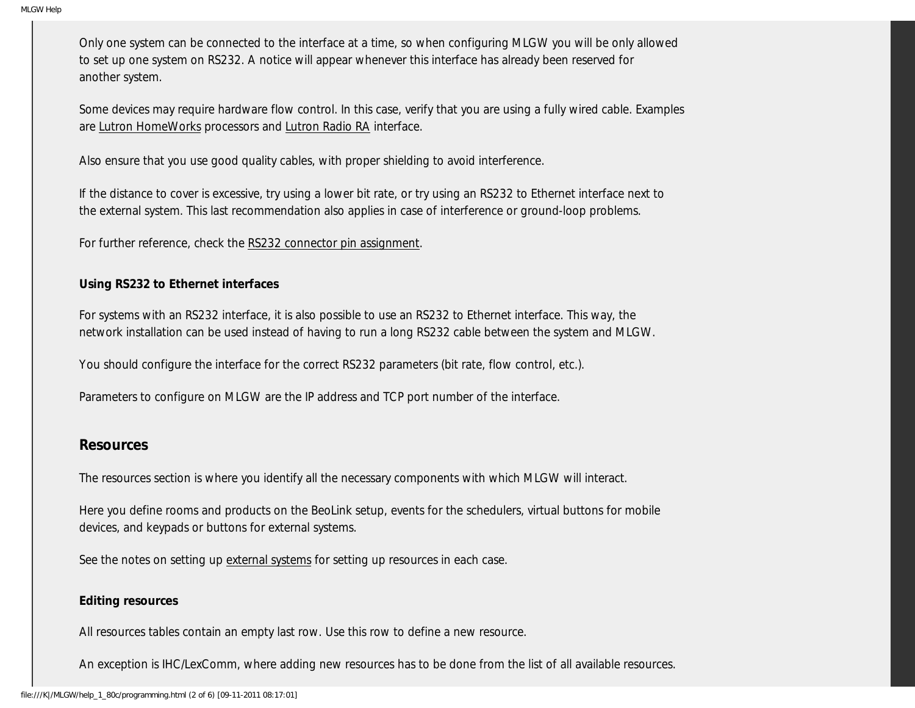Only one system can be connected to the interface at a time, so when configuring MLGW you will be only allowed to set up one system on RS232. A notice will appear whenever this interface has already been reserved for another system.

Some devices may require hardware flow control. In this case, verify that you are using a fully wired cable. Examples are [Lutron HomeWorks](#page-27-0) processors and [Lutron Radio RA](#page-30-0) interface.

Also ensure that you use good quality cables, with proper shielding to avoid interference.

If the distance to cover is excessive, try using a lower bit rate, or try using an RS232 to Ethernet interface next to the external system. This last recommendation also applies in case of interference or ground-loop problems.

For further reference, check the [RS232 connector pin assignment](#page-49-0).

#### **Using RS232 to Ethernet interfaces**

For systems with an RS232 interface, it is also possible to use an RS232 to Ethernet interface. This way, the network installation can be used instead of having to run a long RS232 cable between the system and MLGW.

You should configure the interface for the correct RS232 parameters (bit rate, flow control, etc.).

Parameters to configure on MLGW are the IP address and TCP port number of the interface.

#### <span id="page-15-0"></span>**Resources**

The resources section is where you identify all the necessary components with which MLGW will interact.

Here you define rooms and products on the BeoLink setup, events for the schedulers, virtual buttons for mobile devices, and keypads or buttons for external systems.

See the notes on setting up [external systems](#page-23-0) for setting up resources in each case.

#### **Editing resources**

All resources tables contain an empty last row. Use this row to define a new resource.

An exception is IHC/LexComm, where adding new resources has to be done from the list of all available resources.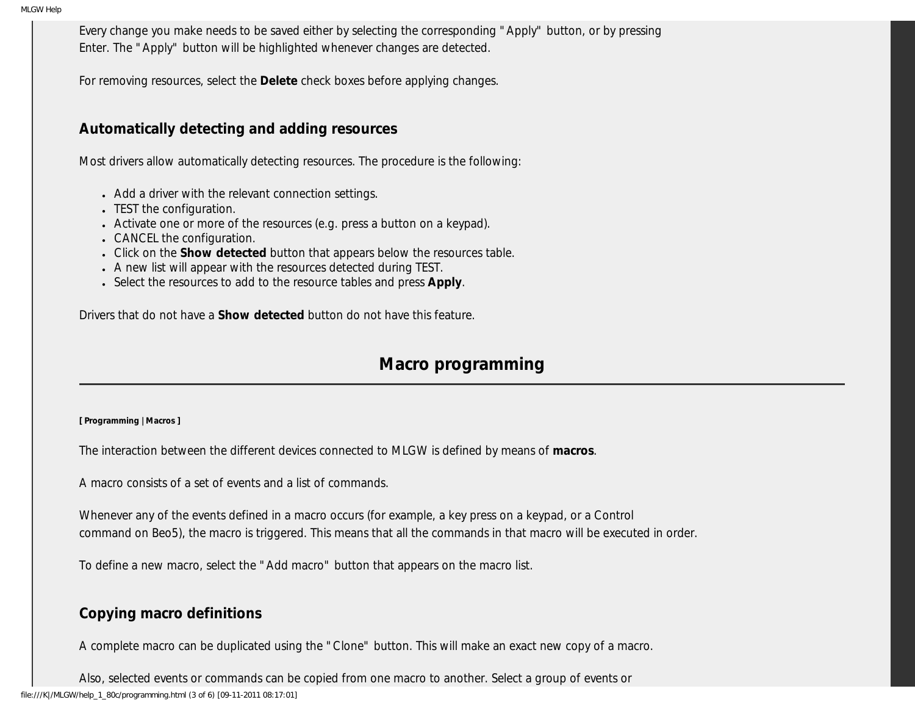Every change you make needs to be saved either by selecting the corresponding "Apply" button, or by pressing Enter. The "Apply" button will be highlighted whenever changes are detected.

For removing resources, select the **Delete** check boxes before applying changes.

### **Automatically detecting and adding resources**

Most drivers allow automatically detecting resources. The procedure is the following:

- Add a driver with the relevant connection settings.
- TEST the configuration.
- Activate one or more of the resources (e.g. press a button on a keypad).
- CANCEL the configuration.
- Click on the **Show detected** button that appears below the resources table.
- A new list will appear with the resources detected during TEST.
- Select the resources to add to the resource tables and press Apply.

<span id="page-16-0"></span>Drivers that do not have a **Show detected** button do not have this feature.

# **Macro programming**

#### **[ Programming | Macros ]**

The interaction between the different devices connected to MLGW is defined by means of **macros**.

A macro consists of a set of events and a list of commands.

Whenever any of the events defined in a macro occurs (for example, a key press on a keypad, or a Control command on Beo5), the macro is triggered. This means that all the commands in that macro will be executed in order.

To define a new macro, select the "Add macro" button that appears on the macro list.

## **Copying macro definitions**

A complete macro can be duplicated using the "Clone" button. This will make an exact new copy of a macro.

Also, selected events or commands can be copied from one macro to another. Select a group of events or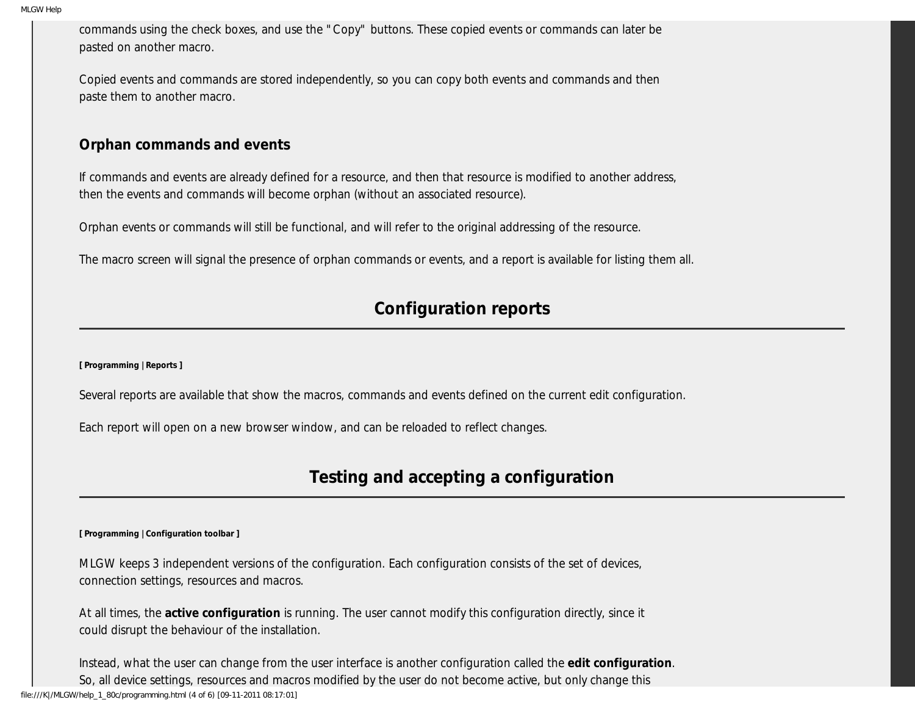commands using the check boxes, and use the "Copy" buttons. These copied events or commands can later be pasted on another macro.

Copied events and commands are stored independently, so you can copy both events and commands and then paste them to another macro.

### **Orphan commands and events**

If commands and events are already defined for a resource, and then that resource is modified to another address, then the events and commands will become orphan (without an associated resource).

Orphan events or commands will still be functional, and will refer to the original addressing of the resource.

<span id="page-17-1"></span>The macro screen will signal the presence of orphan commands or events, and a report is available for listing them all.

## **Configuration reports**

**[ Programming | Reports ]**

Several reports are available that show the macros, commands and events defined on the current edit configuration.

<span id="page-17-0"></span>Each report will open on a new browser window, and can be reloaded to reflect changes.

## **Testing and accepting a configuration**

#### **[ Programming | Configuration toolbar ]**

MLGW keeps 3 independent versions of the configuration. Each configuration consists of the set of devices, connection settings, resources and macros.

At all times, the **active configuration** is running. The user cannot modify this configuration directly, since it could disrupt the behaviour of the installation.

Instead, what the user can change from the user interface is another configuration called the **edit configuration**. So, all device settings, resources and macros modified by the user do not become active, but only change this

file:///K|/MLGW/help\_1\_80c/programming.html (4 of 6) [09-11-2011 08:17:01]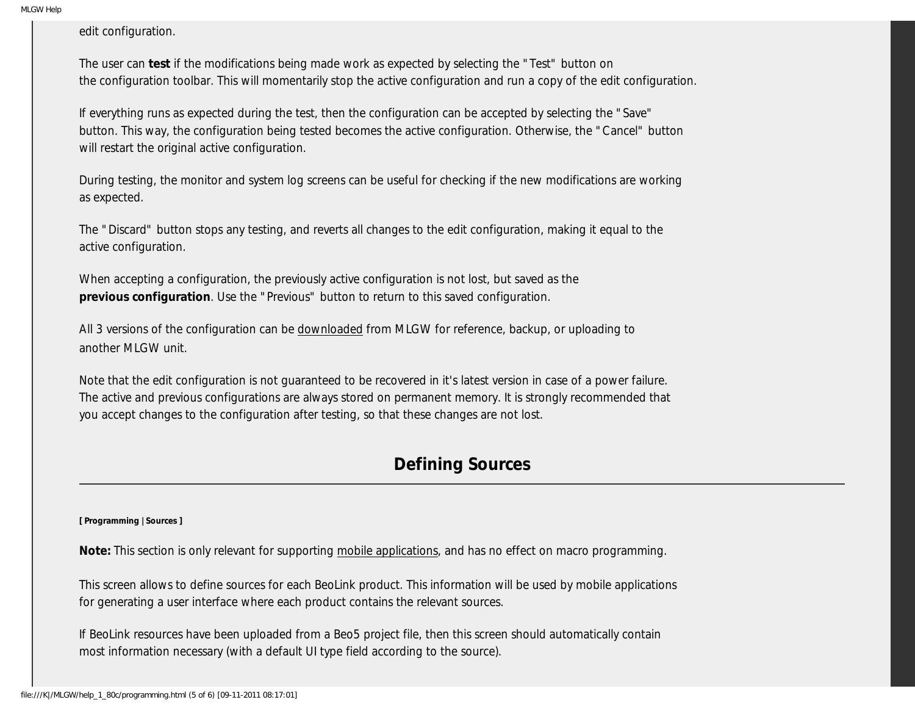#### edit configuration.

The user can **test** if the modifications being made work as expected by selecting the "Test" button on the configuration toolbar. This will momentarily stop the active configuration and run a copy of the edit configuration.

If everything runs as expected during the test, then the configuration can be accepted by selecting the "Save" button. This way, the configuration being tested becomes the active configuration. Otherwise, the "Cancel" button will restart the original active configuration.

During testing, the monitor and system log screens can be useful for checking if the new modifications are working as expected.

The "Discard" button stops any testing, and reverts all changes to the edit configuration, making it equal to the active configuration.

When accepting a configuration, the previously active configuration is not lost, but saved as the **previous configuration**. Use the "Previous" button to return to this saved configuration.

All 3 versions of the configuration can be [downloaded](#page-41-1) from MLGW for reference, backup, or uploading to another MLGW unit

<span id="page-18-0"></span>Note that the edit configuration is not guaranteed to be recovered in it's latest version in case of a power failure. The active and previous configurations are always stored on permanent memory. It is strongly recommended that you accept changes to the configuration after testing, so that these changes are not lost.

## **Defining Sources**

#### **[ Programming | Sources ]**

**Note:** This section is only relevant for supporting [mobile applications,](#page-20-0) and has no effect on macro programming.

This screen allows to define sources for each BeoLink product. This information will be used by mobile applications for generating a user interface where each product contains the relevant sources.

If BeoLink resources have been uploaded from a Beo5 project file, then this screen should automatically contain most information necessary (with a default UI type field according to the source).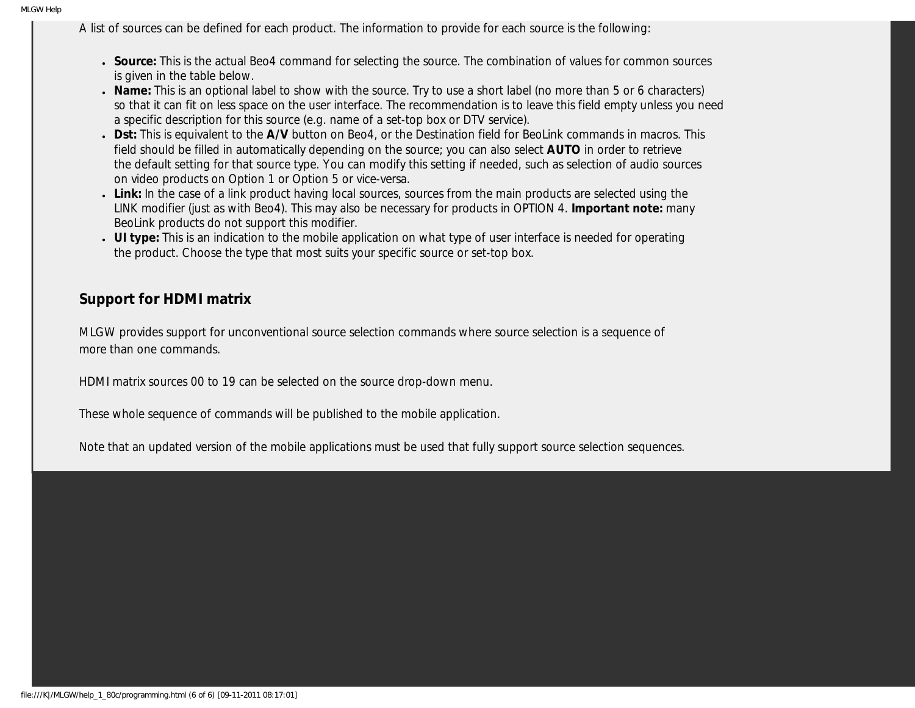A list of sources can be defined for each product. The information to provide for each source is the following:

- **Source:** This is the actual Beo4 command for selecting the source. The combination of values for common sources is given in the table below.
- **Name:** This is an optional label to show with the source. Try to use a short label (no more than 5 or 6 characters) so that it can fit on less space on the user interface. The recommendation is to leave this field empty unless you need a specific description for this source (e.g. name of a set-top box or DTV service).
- **Dst:** This is equivalent to the **A/V** button on Beo4, or the Destination field for BeoLink commands in macros. This field should be filled in automatically depending on the source; you can also select **AUTO** in order to retrieve the default setting for that source type. You can modify this setting if needed, such as selection of audio sources on video products on Option 1 or Option 5 or vice-versa.
- Link: In the case of a link product having local sources, sources from the main products are selected using the LINK modifier (just as with Beo4). This may also be necessary for products in OPTION 4. **Important note:** many BeoLink products do not support this modifier.
- **UI type:** This is an indication to the mobile application on what type of user interface is needed for operating the product. Choose the type that most suits your specific source or set-top box.

### **Support for HDMI matrix**

MLGW provides support for unconventional source selection commands where source selection is a sequence of more than one commands.

HDMI matrix sources 00 to 19 can be selected on the source drop-down menu.

These whole sequence of commands will be published to the mobile application.

Note that an updated version of the mobile applications must be used that fully support source selection sequences.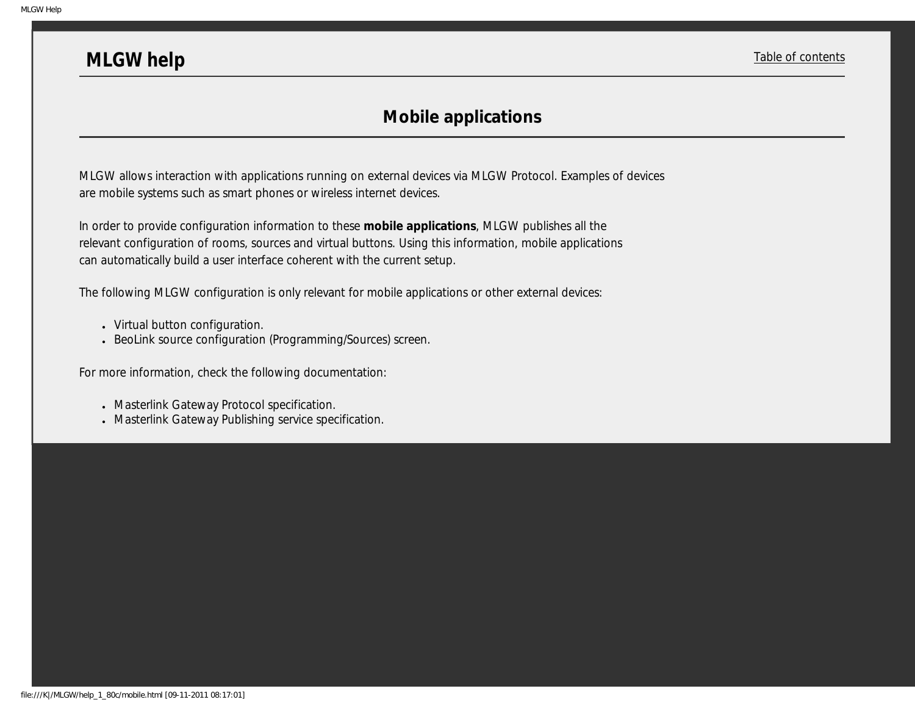## **Mobile applications**

<span id="page-20-0"></span>MLGW allows interaction with applications running on external devices via MLGW Protocol. Examples of devices are mobile systems such as smart phones or wireless internet devices.

In order to provide configuration information to these **mobile applications**, MLGW publishes all the relevant configuration of rooms, sources and virtual buttons. Using this information, mobile applications can automatically build a user interface coherent with the current setup.

The following MLGW configuration is only relevant for mobile applications or other external devices:

- Virtual button configuration.
- BeoLink source configuration (Programming/Sources) screen.

For more information, check the following documentation:

- Masterlink Gateway Protocol specification.
- Masterlink Gateway Publishing service specification.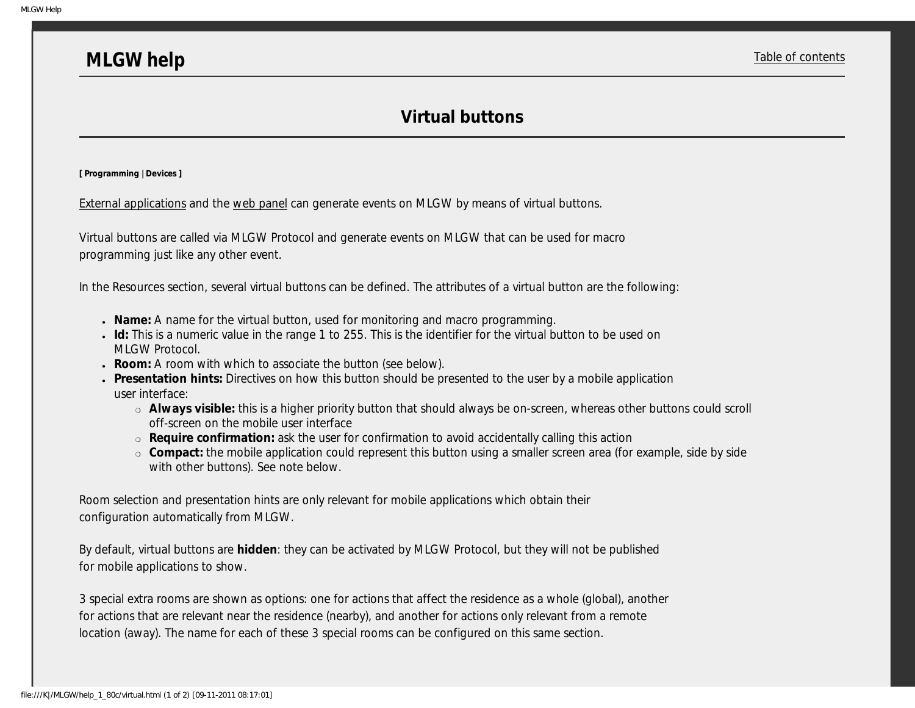## **Virtual buttons**

<span id="page-21-0"></span>**[ Programming | Devices ]**

[External applications](#page-20-0) and the [web panel](#page-44-0) can generate events on MLGW by means of virtual buttons.

Virtual buttons are called via MLGW Protocol and generate events on MLGW that can be used for macro programming just like any other event.

In the Resources section, several virtual buttons can be defined. The attributes of a virtual button are the following:

- **Name:** A name for the virtual button, used for monitoring and macro programming.
- Id: This is a numeric value in the range 1 to 255. This is the identifier for the virtual button to be used on MLGW Protocol.
- **Room:** A room with which to associate the button (see below).
- Presentation hints: Directives on how this button should be presented to the user by a mobile application user interface:
	- ❍ **Always visible:** this is a higher priority button that should always be on-screen, whereas other buttons could scroll off-screen on the mobile user interface
	- ❍ **Require confirmation:** ask the user for confirmation to avoid accidentally calling this action
	- ❍ **Compact:** the mobile application could represent this button using a smaller screen area (for example, side by side with other buttons). See note below.

Room selection and presentation hints are only relevant for mobile applications which obtain their configuration automatically from MLGW.

By default, virtual buttons are **hidden**: they can be activated by MLGW Protocol, but they will not be published for mobile applications to show.

3 special extra rooms are shown as options: one for actions that affect the residence as a whole (global), another for actions that are relevant near the residence (nearby), and another for actions only relevant from a remote location (away). The name for each of these 3 special rooms can be configured on this same section.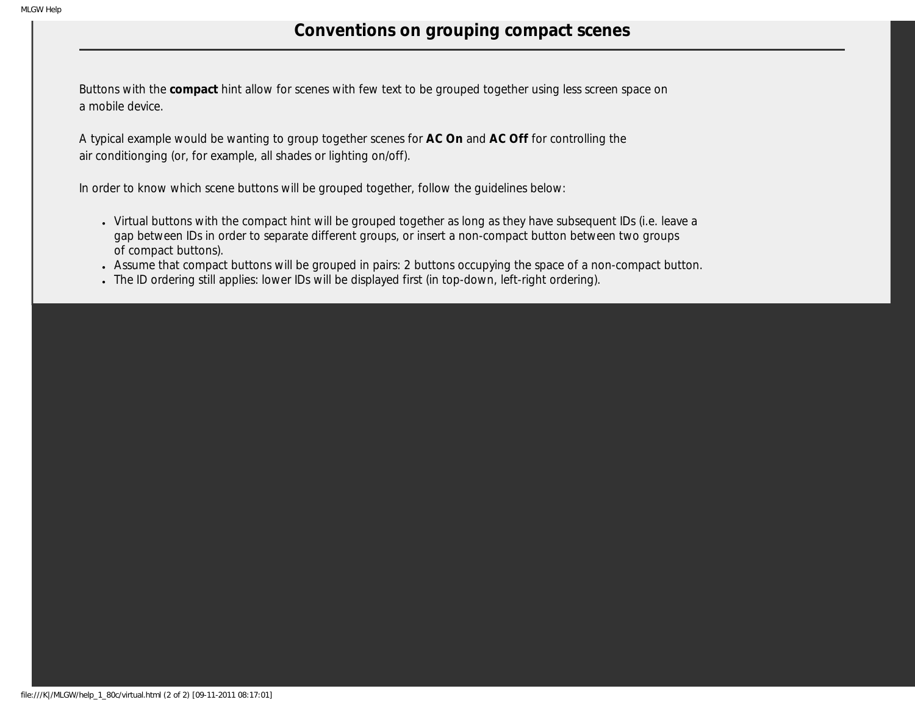## **Conventions on grouping compact scenes**

Buttons with the **compact** hint allow for scenes with few text to be grouped together using less screen space on a mobile device.

A typical example would be wanting to group together scenes for **AC On** and **AC Off** for controlling the air conditionging (or, for example, all shades or lighting on/off).

In order to know which scene buttons will be grouped together, follow the guidelines below:

- Virtual buttons with the compact hint will be grouped together as long as they have subsequent IDs (i.e. leave a gap between IDs in order to separate different groups, or insert a non-compact button between two groups of compact buttons).
- Assume that compact buttons will be grouped in pairs: 2 buttons occupying the space of a non-compact button.
- The ID ordering still applies: lower IDs will be displayed first (in top-down, left-right ordering).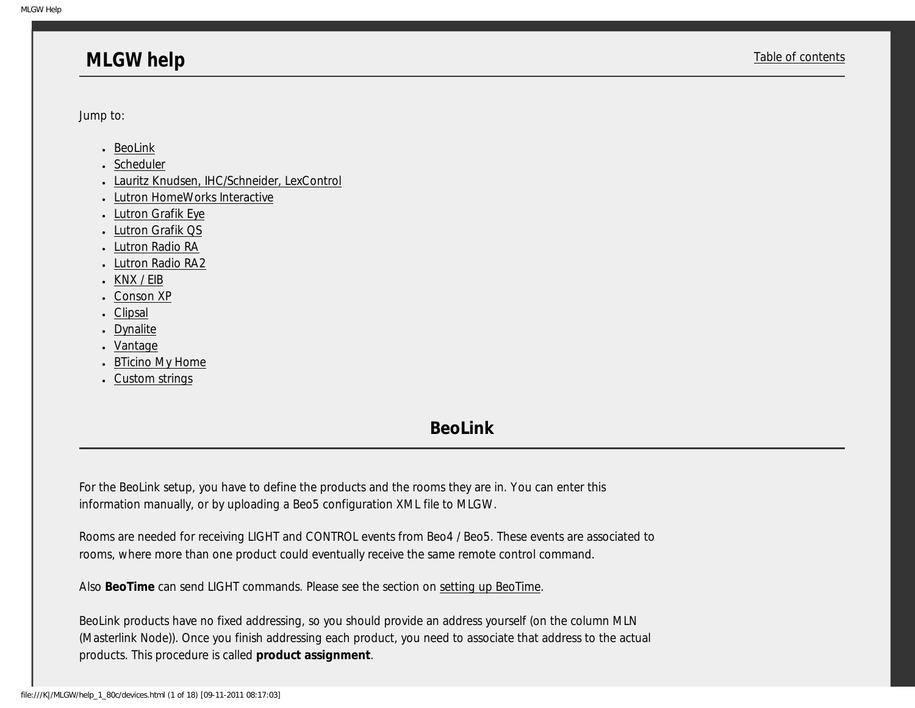<span id="page-23-0"></span>Jump to:

- [BeoLink](#page-23-1)
- [Scheduler](#page-26-0)
- [Lauritz Knudsen, IHC/Schneider, LexControl](#page-26-1)
- [Lutron HomeWorks Interactive](#page-27-0)
- [Lutron Grafik Eye](#page-28-0)
- [Lutron Grafik QS](#page-29-0)
- [Lutron Radio RA](#page-30-0)
- [Lutron Radio RA2](#page-31-0)
- $\cdot$  [KNX / EIB](#page-32-0)
- [Conson XP](#page-34-0)
- [Clipsal](#page-35-0)
- [Dynalite](#page-35-1)
- [Vantage](#page-36-0)
- [BTicino My Home](#page-37-1)
- <span id="page-23-1"></span>• [Custom strings](#page-37-0)

## **BeoLink**

For the BeoLink setup, you have to define the products and the rooms they are in. You can enter this information manually, or by uploading a Beo5 configuration XML file to MLGW.

Rooms are needed for receiving LIGHT and CONTROL events from Beo4 / Beo5. These events are associated to rooms, where more than one product could eventually receive the same remote control command.

Also **BeoTime** can send LIGHT commands. Please see the section on [setting up BeoTime.](#page-50-0)

BeoLink products have no fixed addressing, so you should provide an address yourself (on the column MLN (Masterlink Node)). Once you finish addressing each product, you need to associate that address to the actual products. This procedure is called **product assignment**.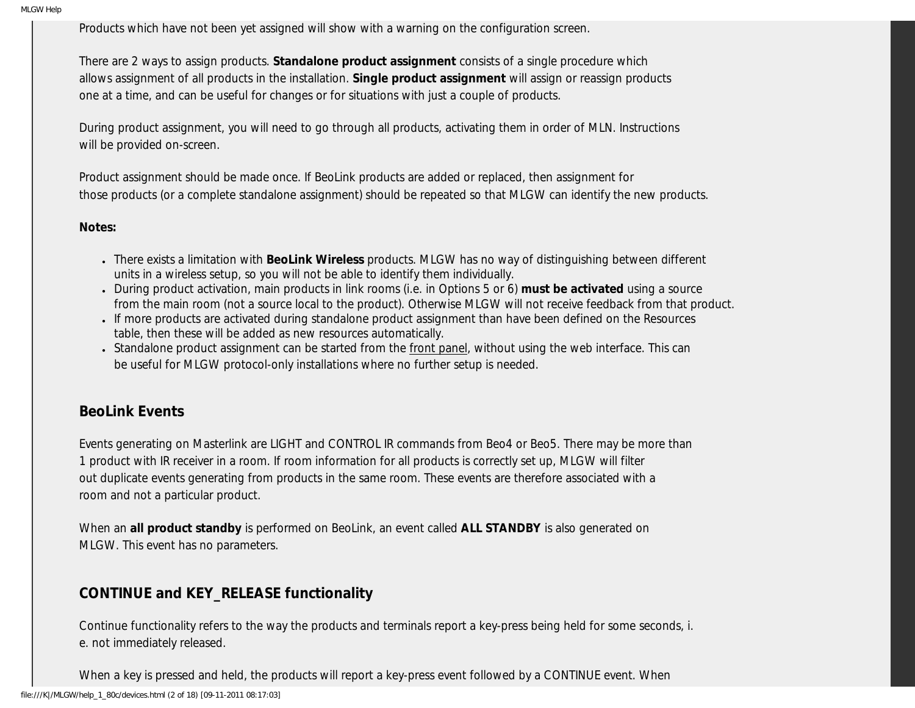Products which have not been yet assigned will show with a warning on the configuration screen.

There are 2 ways to assign products. **Standalone product assignment** consists of a single procedure which allows assignment of all products in the installation. **Single product assignment** will assign or reassign products one at a time, and can be useful for changes or for situations with just a couple of products.

During product assignment, you will need to go through all products, activating them in order of MLN. Instructions will be provided on-screen.

Product assignment should be made once. If BeoLink products are added or replaced, then assignment for those products (or a complete standalone assignment) should be repeated so that MLGW can identify the new products.

#### **Notes:**

- There exists a limitation with **BeoLink Wireless** products. MLGW has no way of distinguishing between different units in a wireless setup, so you will not be able to identify them individually.
- During product activation, main products in link rooms (i.e. in Options 5 or 6) **must be activated** using a source from the main room (not a source local to the product). Otherwise MLGW will not receive feedback from that product.
- If more products are activated during standalone product assignment than have been defined on the Resources table, then these will be added as new resources automatically.
- Standalone product assignment can be started from the [front panel,](#page-4-0) without using the web interface. This can be useful for MLGW protocol-only installations where no further setup is needed.

### **BeoLink Events**

Events generating on Masterlink are LIGHT and CONTROL IR commands from Beo4 or Beo5. There may be more than 1 product with IR receiver in a room. If room information for all products is correctly set up, MLGW will filter out duplicate events generating from products in the same room. These events are therefore associated with a room and not a particular product.

When an **all product standby** is performed on BeoLink, an event called **ALL STANDBY** is also generated on MLGW. This event has no parameters.

### **CONTINUE and KEY\_RELEASE functionality**

Continue functionality refers to the way the products and terminals report a key-press being held for some seconds, i. e. not immediately released.

When a key is pressed and held, the products will report a key-press event followed by a CONTINUE event. When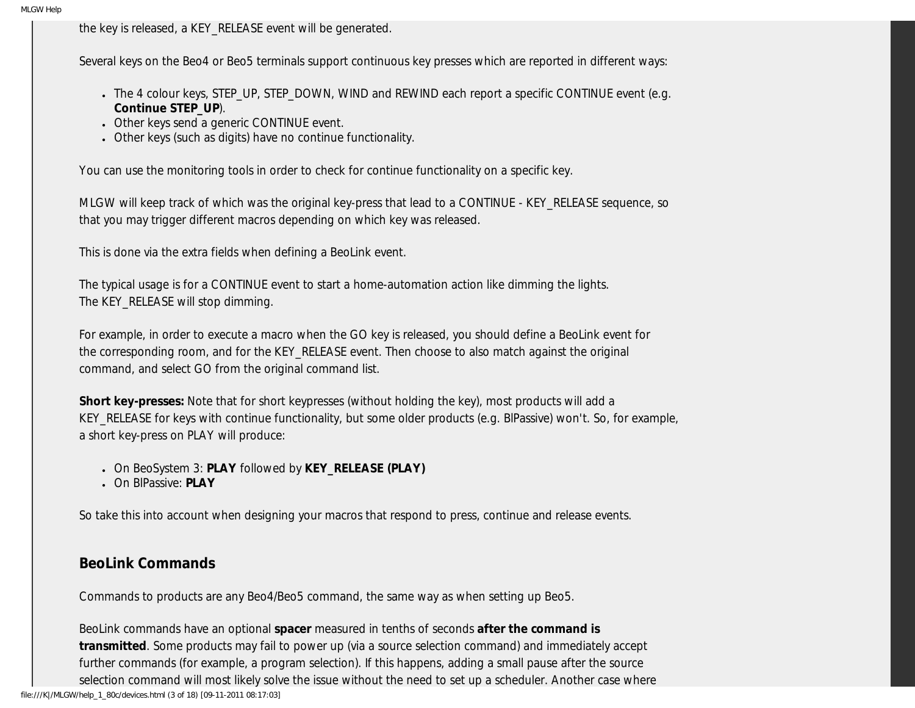the key is released, a KEY\_RELEASE event will be generated.

Several keys on the Beo4 or Beo5 terminals support continuous key presses which are reported in different ways:

- The 4 colour keys, STEP\_UP, STEP\_DOWN, WIND and REWIND each report a specific CONTINUE event (e.g. **Continue STEP\_UP**).
- Other keys send a generic CONTINUE event.
- Other keys (such as digits) have no continue functionality.

You can use the monitoring tools in order to check for continue functionality on a specific key.

MLGW will keep track of which was the original key-press that lead to a CONTINUE - KEY\_RELEASE sequence, so that you may trigger different macros depending on which key was released.

This is done via the extra fields when defining a BeoLink event.

The typical usage is for a CONTINUE event to start a home-automation action like dimming the lights. The KEY\_RELEASE will stop dimming.

For example, in order to execute a macro when the GO key is released, you should define a BeoLink event for the corresponding room, and for the KEY\_RELEASE event. Then choose to also match against the original command, and select GO from the original command list.

**Short key-presses:** Note that for short keypresses (without holding the key), most products will add a KEY\_RELEASE for keys with continue functionality, but some older products (e.g. BlPassive) won't. So, for example, a short key-press on PLAY will produce:

- On BeoSystem 3: **PLAY** followed by **KEY\_RELEASE (PLAY)**
- On BlPassive: **PLAY**

So take this into account when designing your macros that respond to press, continue and release events.

### **BeoLink Commands**

Commands to products are any Beo4/Beo5 command, the same way as when setting up Beo5.

BeoLink commands have an optional **spacer** measured in tenths of seconds **after the command is transmitted**. Some products may fail to power up (via a source selection command) and immediately accept further commands (for example, a program selection). If this happens, adding a small pause after the source selection command will most likely solve the issue without the need to set up a scheduler. Another case where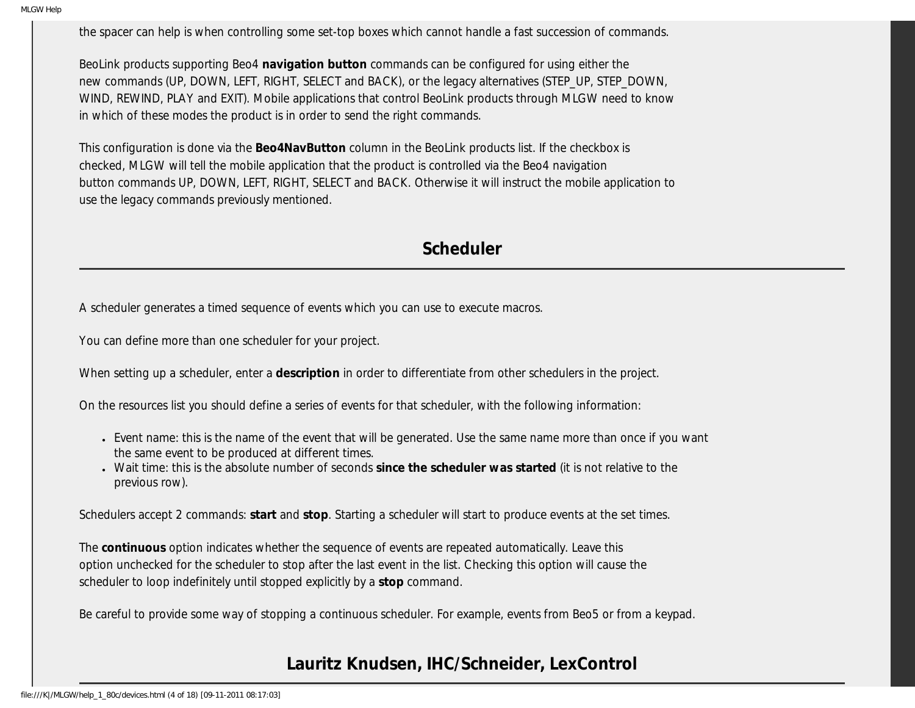the spacer can help is when controlling some set-top boxes which cannot handle a fast succession of commands.

BeoLink products supporting Beo4 **navigation button** commands can be configured for using either the new commands (UP, DOWN, LEFT, RIGHT, SELECT and BACK), or the legacy alternatives (STEP\_UP, STEP\_DOWN, WIND, REWIND, PLAY and EXIT). Mobile applications that control BeoLink products through MLGW need to know in which of these modes the product is in order to send the right commands.

This configuration is done via the **Beo4NavButton** column in the BeoLink products list. If the checkbox is checked, MLGW will tell the mobile application that the product is controlled via the Beo4 navigation button commands UP, DOWN, LEFT, RIGHT, SELECT and BACK. Otherwise it will instruct the mobile application to use the legacy commands previously mentioned.

## **Scheduler**

<span id="page-26-0"></span>A scheduler generates a timed sequence of events which you can use to execute macros.

You can define more than one scheduler for your project.

When setting up a scheduler, enter a **description** in order to differentiate from other schedulers in the project.

On the resources list you should define a series of events for that scheduler, with the following information:

- Event name: this is the name of the event that will be generated. Use the same name more than once if you want the same event to be produced at different times.
- Wait time: this is the absolute number of seconds **since the scheduler was started** (it is not relative to the previous row).

Schedulers accept 2 commands: **start** and **stop**. Starting a scheduler will start to produce events at the set times.

The **continuous** option indicates whether the sequence of events are repeated automatically. Leave this option unchecked for the scheduler to stop after the last event in the list. Checking this option will cause the scheduler to loop indefinitely until stopped explicitly by a **stop** command.

<span id="page-26-1"></span>Be careful to provide some way of stopping a continuous scheduler. For example, events from Beo5 or from a keypad.

## **Lauritz Knudsen, IHC/Schneider, LexControl**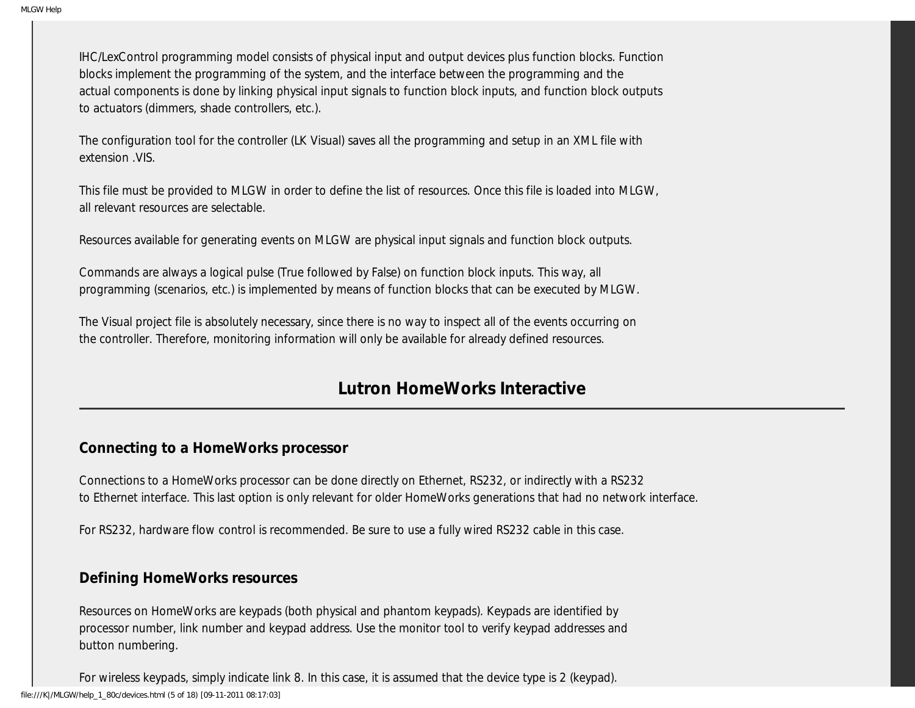IHC/LexControl programming model consists of physical input and output devices plus function blocks. Function blocks implement the programming of the system, and the interface between the programming and the actual components is done by linking physical input signals to function block inputs, and function block outputs to actuators (dimmers, shade controllers, etc.).

The configuration tool for the controller (LK Visual) saves all the programming and setup in an XML file with extension .VIS.

This file must be provided to MLGW in order to define the list of resources. Once this file is loaded into MLGW, all relevant resources are selectable.

Resources available for generating events on MLGW are physical input signals and function block outputs.

Commands are always a logical pulse (True followed by False) on function block inputs. This way, all programming (scenarios, etc.) is implemented by means of function blocks that can be executed by MLGW.

<span id="page-27-0"></span>The Visual project file is absolutely necessary, since there is no way to inspect all of the events occurring on the controller. Therefore, monitoring information will only be available for already defined resources.

## **Lutron HomeWorks Interactive**

#### **Connecting to a HomeWorks processor**

Connections to a HomeWorks processor can be done directly on Ethernet, RS232, or indirectly with a RS232 to Ethernet interface. This last option is only relevant for older HomeWorks generations that had no network interface.

For RS232, hardware flow control is recommended. Be sure to use a fully wired RS232 cable in this case.

#### **Defining HomeWorks resources**

Resources on HomeWorks are keypads (both physical and phantom keypads). Keypads are identified by processor number, link number and keypad address. Use the monitor tool to verify keypad addresses and button numbering.

For wireless keypads, simply indicate link 8. In this case, it is assumed that the device type is 2 (keypad).

file:///K|/MLGW/help\_1\_80c/devices.html (5 of 18) [09-11-2011 08:17:03]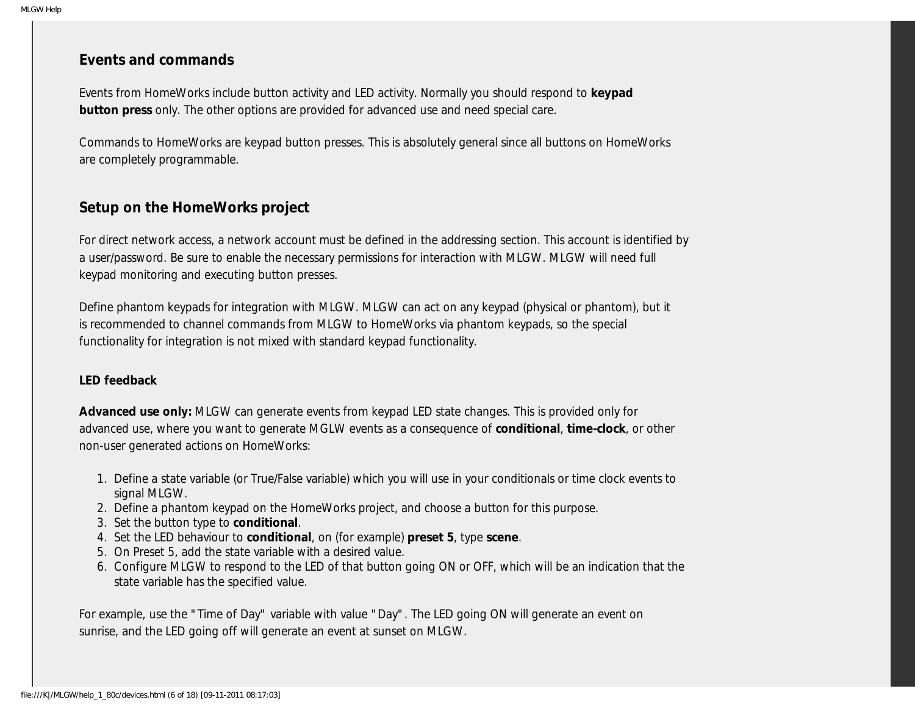### **Events and commands**

Events from HomeWorks include button activity and LED activity. Normally you should respond to **keypad button press** only. The other options are provided for advanced use and need special care.

Commands to HomeWorks are keypad button presses. This is absolutely general since all buttons on HomeWorks are completely programmable.

### **Setup on the HomeWorks project**

For direct network access, a network account must be defined in the addressing section. This account is identified by a user/password. Be sure to enable the necessary permissions for interaction with MLGW. MLGW will need full keypad monitoring and executing button presses.

Define phantom keypads for integration with MLGW. MLGW can act on any keypad (physical or phantom), but it is recommended to channel commands from MLGW to HomeWorks via phantom keypads, so the special functionality for integration is not mixed with standard keypad functionality.

#### **LED feedback**

**Advanced use only:** MLGW can generate events from keypad LED state changes. This is provided only for advanced use, where you want to generate MGLW events as a consequence of **conditional**, **time-clock**, or other non-user generated actions on HomeWorks:

- 1. Define a state variable (or True/False variable) which you will use in your conditionals or time clock events to signal MLGW.
- 2. Define a phantom keypad on the HomeWorks project, and choose a button for this purpose.
- 3. Set the button type to **conditional**.
- 4. Set the LED behaviour to **conditional**, on (for example) **preset 5**, type **scene**.
- 5. On Preset 5, add the state variable with a desired value.
- 6. Configure MLGW to respond to the LED of that button going ON or OFF, which will be an indication that the state variable has the specified value.

<span id="page-28-0"></span>For example, use the "Time of Day" variable with value "Day". The LED going ON will generate an event on sunrise, and the LED going off will generate an event at sunset on MLGW.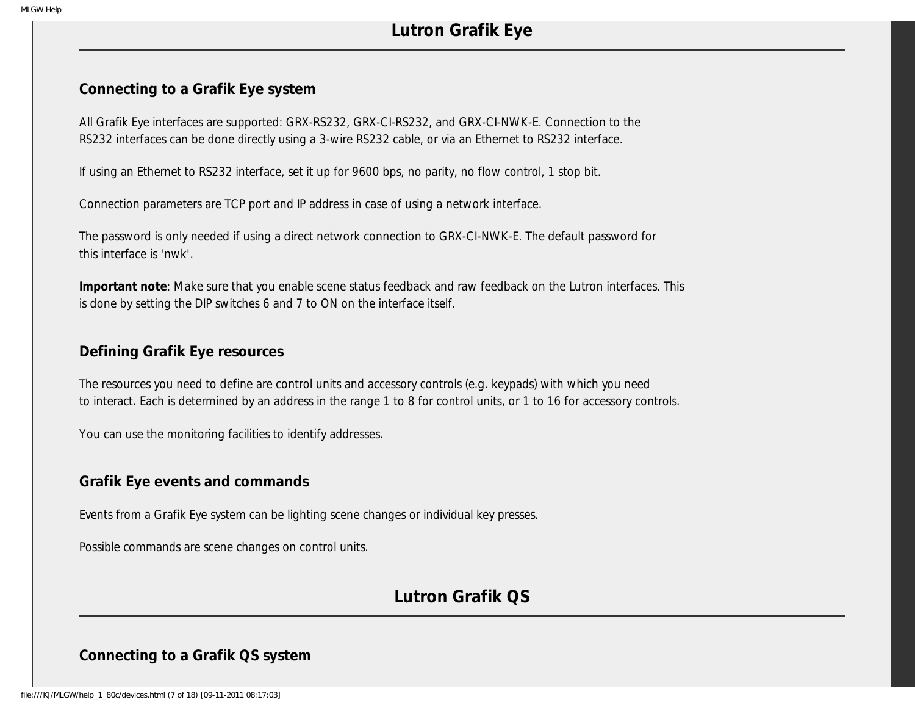### **Connecting to a Grafik Eye system**

All Grafik Eye interfaces are supported: GRX-RS232, GRX-CI-RS232, and GRX-CI-NWK-E. Connection to the RS232 interfaces can be done directly using a 3-wire RS232 cable, or via an Ethernet to RS232 interface.

If using an Ethernet to RS232 interface, set it up for 9600 bps, no parity, no flow control, 1 stop bit.

Connection parameters are TCP port and IP address in case of using a network interface.

The password is only needed if using a direct network connection to GRX-CI-NWK-E. The default password for this interface is 'nwk'.

**Important note**: Make sure that you enable scene status feedback and raw feedback on the Lutron interfaces. This is done by setting the DIP switches 6 and 7 to ON on the interface itself.

### **Defining Grafik Eye resources**

The resources you need to define are control units and accessory controls (e.g. keypads) with which you need to interact. Each is determined by an address in the range 1 to 8 for control units, or 1 to 16 for accessory controls.

You can use the monitoring facilities to identify addresses.

## **Grafik Eye events and commands**

Events from a Grafik Eye system can be lighting scene changes or individual key presses.

<span id="page-29-0"></span>Possible commands are scene changes on control units.

# **Lutron Grafik QS**

## **Connecting to a Grafik QS system**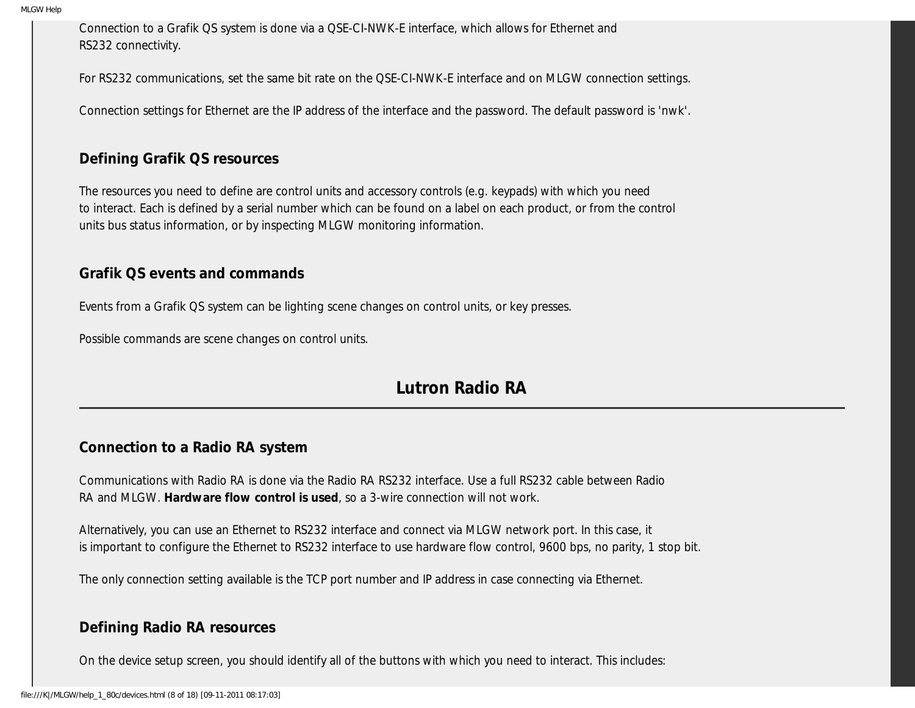Connection to a Grafik QS system is done via a QSE-CI-NWK-E interface, which allows for Ethernet and RS232 connectivity.

For RS232 communications, set the same bit rate on the QSE-CI-NWK-E interface and on MLGW connection settings.

Connection settings for Ethernet are the IP address of the interface and the password. The default password is 'nwk'.

### **Defining Grafik QS resources**

The resources you need to define are control units and accessory controls (e.g. keypads) with which you need to interact. Each is defined by a serial number which can be found on a label on each product, or from the control units bus status information, or by inspecting MLGW monitoring information.

### **Grafik QS events and commands**

Events from a Grafik QS system can be lighting scene changes on control units, or key presses.

<span id="page-30-0"></span>Possible commands are scene changes on control units.

# **Lutron Radio RA**

### **Connection to a Radio RA system**

Communications with Radio RA is done via the Radio RA RS232 interface. Use a full RS232 cable between Radio RA and MLGW. **Hardware flow control is used**, so a 3-wire connection will not work.

Alternatively, you can use an Ethernet to RS232 interface and connect via MLGW network port. In this case, it is important to configure the Ethernet to RS232 interface to use hardware flow control, 9600 bps, no parity, 1 stop bit.

The only connection setting available is the TCP port number and IP address in case connecting via Ethernet.

### **Defining Radio RA resources**

On the device setup screen, you should identify all of the buttons with which you need to interact. This includes: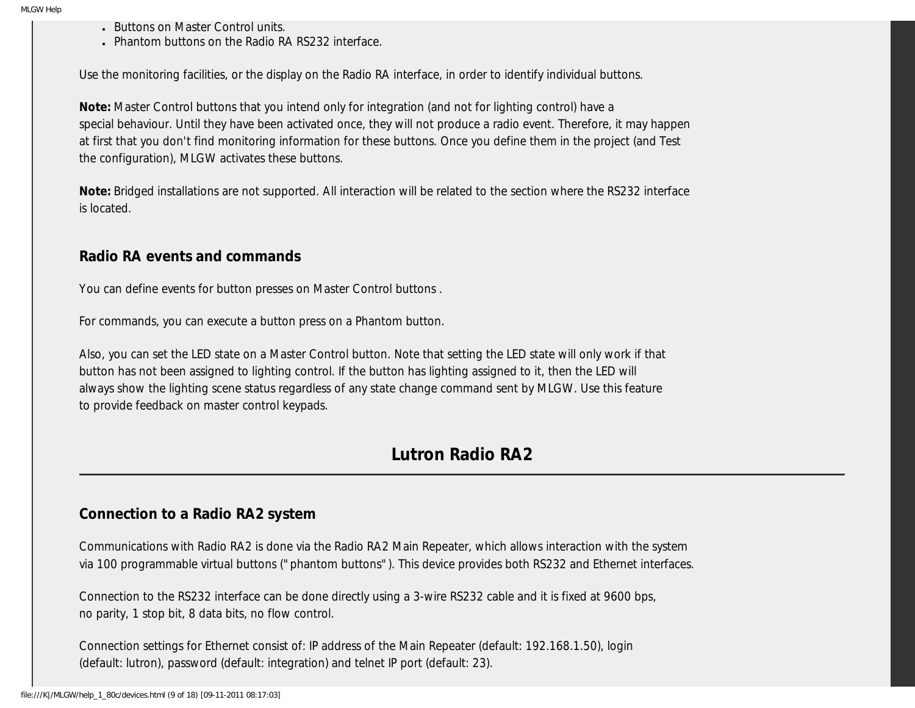- Buttons on Master Control units.
- Phantom buttons on the Radio RA RS232 interface.

Use the monitoring facilities, or the display on the Radio RA interface, in order to identify individual buttons.

**Note:** Master Control buttons that you intend only for integration (and not for lighting control) have a special behaviour. Until they have been activated once, they will not produce a radio event. Therefore, it may happen at first that you don't find monitoring information for these buttons. Once you define them in the project (and Test the configuration), MLGW activates these buttons.

**Note:** Bridged installations are not supported. All interaction will be related to the section where the RS232 interface is located.

### **Radio RA events and commands**

You can define events for button presses on Master Control buttons .

For commands, you can execute a button press on a Phantom button.

Also, you can set the LED state on a Master Control button. Note that setting the LED state will only work if that button has not been assigned to lighting control. If the button has lighting assigned to it, then the LED will always show the lighting scene status regardless of any state change command sent by MLGW. Use this feature to provide feedback on master control keypads.

## **Lutron Radio RA2**

### <span id="page-31-0"></span>**Connection to a Radio RA2 system**

Communications with Radio RA2 is done via the Radio RA2 Main Repeater, which allows interaction with the system via 100 programmable virtual buttons ("phantom buttons"). This device provides both RS232 and Ethernet interfaces.

Connection to the RS232 interface can be done directly using a 3-wire RS232 cable and it is fixed at 9600 bps, no parity, 1 stop bit, 8 data bits, no flow control.

Connection settings for Ethernet consist of: IP address of the Main Repeater (default: 192.168.1.50), login (default: lutron), password (default: integration) and telnet IP port (default: 23).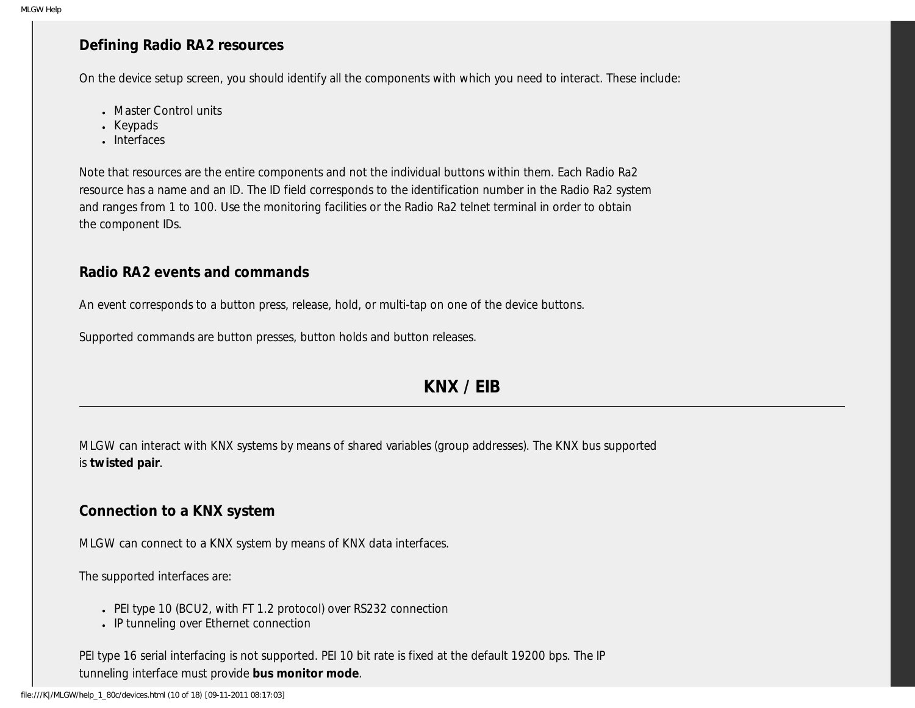### **Defining Radio RA2 resources**

On the device setup screen, you should identify all the components with which you need to interact. These include:

- Master Control units
- Keypads
- Interfaces

Note that resources are the entire components and not the individual buttons within them. Each Radio Ra2 resource has a name and an ID. The ID field corresponds to the identification number in the Radio Ra2 system and ranges from 1 to 100. Use the monitoring facilities or the Radio Ra2 telnet terminal in order to obtain the component IDs.

### **Radio RA2 events and commands**

An event corresponds to a button press, release, hold, or multi-tap on one of the device buttons.

<span id="page-32-0"></span>Supported commands are button presses, button holds and button releases.

## **KNX / EIB**

MLGW can interact with KNX systems by means of shared variables (group addresses). The KNX bus supported is **twisted pair**.

### **Connection to a KNX system**

MLGW can connect to a KNX system by means of KNX data interfaces.

The supported interfaces are:

- PEI type 10 (BCU2, with FT 1.2 protocol) over RS232 connection
- IP tunneling over Ethernet connection

PEI type 16 serial interfacing is not supported. PEI 10 bit rate is fixed at the default 19200 bps. The IP tunneling interface must provide **bus monitor mode**.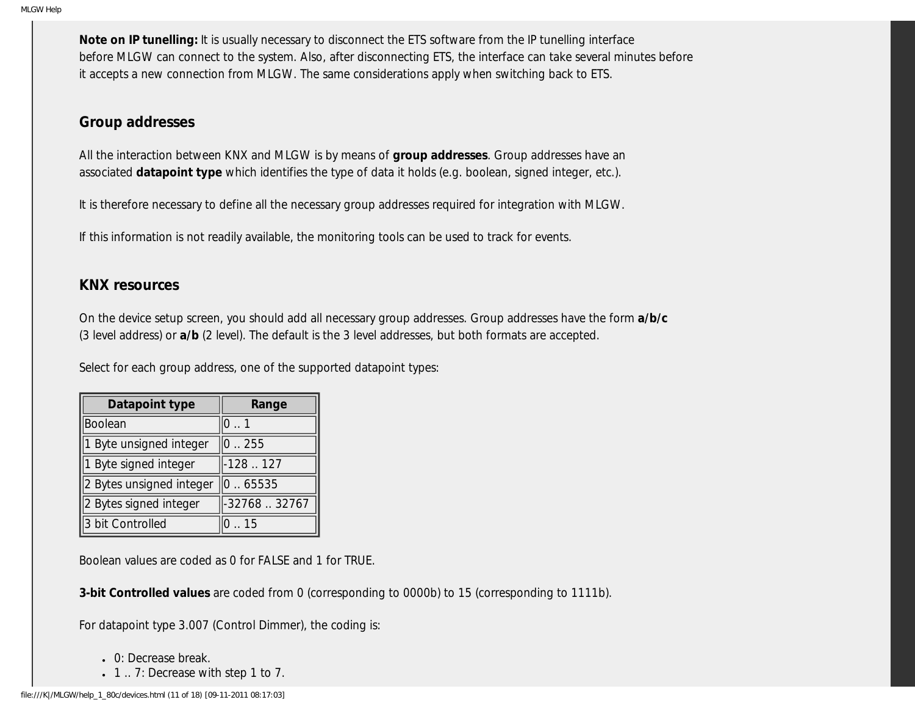**Note on IP tunelling:** It is usually necessary to disconnect the ETS software from the IP tunelling interface before MLGW can connect to the system. Also, after disconnecting ETS, the interface can take several minutes before it accepts a new connection from MLGW. The same considerations apply when switching back to ETS.

### **Group addresses**

All the interaction between KNX and MLGW is by means of **group addresses**. Group addresses have an associated **datapoint type** which identifies the type of data it holds (e.g. boolean, signed integer, etc.).

It is therefore necessary to define all the necessary group addresses required for integration with MLGW.

If this information is not readily available, the monitoring tools can be used to track for events.

#### **KNX resources**

On the device setup screen, you should add all necessary group addresses. Group addresses have the form **a/b/c** (3 level address) or **a/b** (2 level). The default is the 3 level addresses, but both formats are accepted.

Select for each group address, one of the supported datapoint types:

| Datapoint type                           | Range          |
|------------------------------------------|----------------|
| Boolean                                  | n              |
| 1 Byte unsigned integer                  | $\ 0.255\ $    |
| 1 Byte signed integer                    | $-128.127$     |
| 2 Bytes unsigned integer                 | llO.<br>.65535 |
| 2 Bytes signed integer<br>$-32768.32767$ |                |
| 3 bit Controlled                         | - 15           |

Boolean values are coded as 0 for FALSE and 1 for TRUE.

**3-bit Controlled values** are coded from 0 (corresponding to 0000b) to 15 (corresponding to 1111b).

For datapoint type 3.007 (Control Dimmer), the coding is:

- 0: Decrease break.
- 1 .. 7: Decrease with step 1 to 7.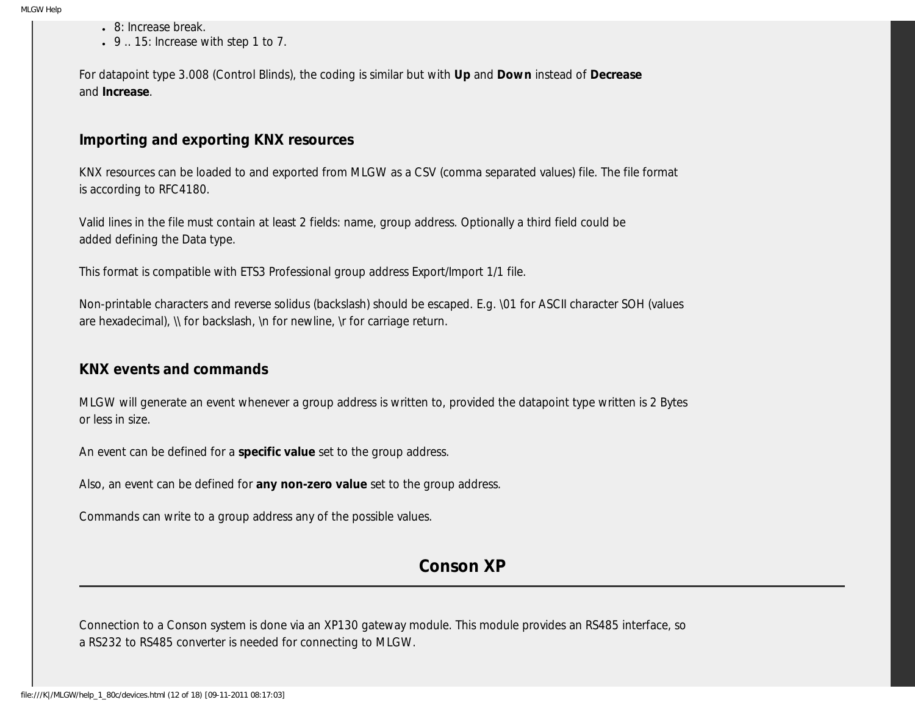- 8: Increase break.
- $\bullet$  9 .. 15: Increase with step 1 to 7.

For datapoint type 3.008 (Control Blinds), the coding is similar but with **Up** and **Down** instead of **Decrease** and **Increase**.

### **Importing and exporting KNX resources**

KNX resources can be loaded to and exported from MLGW as a CSV (comma separated values) file. The file format is according to RFC4180.

Valid lines in the file must contain at least 2 fields: name, group address. Optionally a third field could be added defining the Data type.

This format is compatible with ETS3 Professional group address Export/Import 1/1 file.

Non-printable characters and reverse solidus (backslash) should be escaped. E.g. \01 for ASCII character SOH (values are hexadecimal), \\ for backslash, \n for newline, \r for carriage return.

### **KNX events and commands**

MLGW will generate an event whenever a group address is written to, provided the datapoint type written is 2 Bytes or less in size.

An event can be defined for a **specific value** set to the group address.

Also, an event can be defined for **any non-zero value** set to the group address.

<span id="page-34-0"></span>Commands can write to a group address any of the possible values.

## **Conson XP**

Connection to a Conson system is done via an XP130 gateway module. This module provides an RS485 interface, so a RS232 to RS485 converter is needed for connecting to MLGW.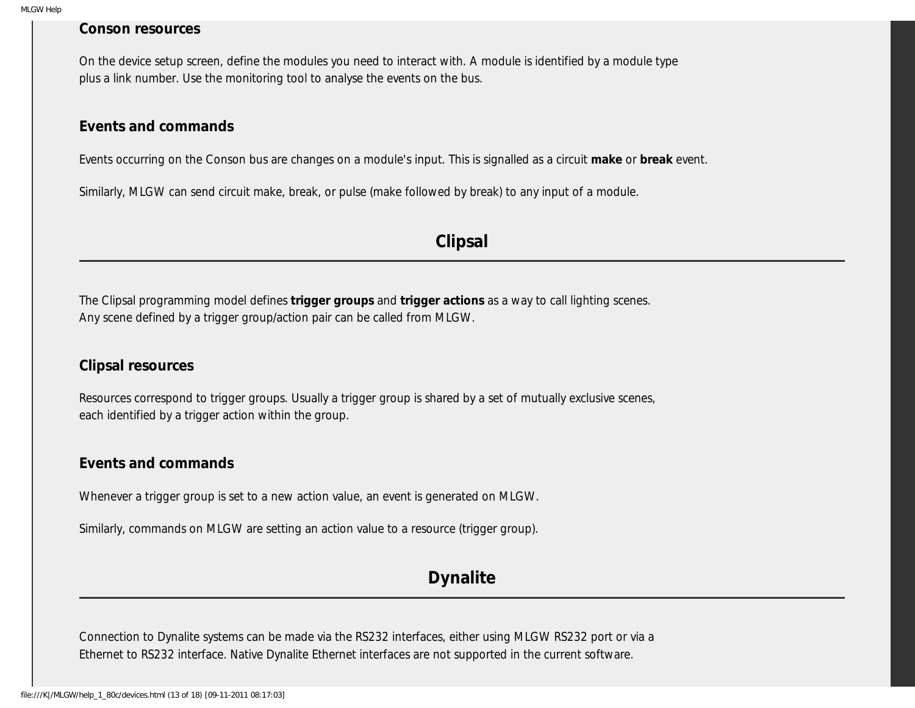### **Conson resources**

On the device setup screen, define the modules you need to interact with. A module is identified by a module type plus a link number. Use the monitoring tool to analyse the events on the bus.

### **Events and commands**

Events occurring on the Conson bus are changes on a module's input. This is signalled as a circuit **make** or **break** event.

<span id="page-35-0"></span>Similarly, MLGW can send circuit make, break, or pulse (make followed by break) to any input of a module.

## **Clipsal**

The Clipsal programming model defines **trigger groups** and **trigger actions** as a way to call lighting scenes. Any scene defined by a trigger group/action pair can be called from MLGW.

### **Clipsal resources**

Resources correspond to trigger groups. Usually a trigger group is shared by a set of mutually exclusive scenes, each identified by a trigger action within the group.

### **Events and commands**

Whenever a trigger group is set to a new action value, an event is generated on MLGW.

<span id="page-35-1"></span>Similarly, commands on MLGW are setting an action value to a resource (trigger group).

## **Dynalite**

Connection to Dynalite systems can be made via the RS232 interfaces, either using MLGW RS232 port or via a Ethernet to RS232 interface. Native Dynalite Ethernet interfaces are not supported in the current software.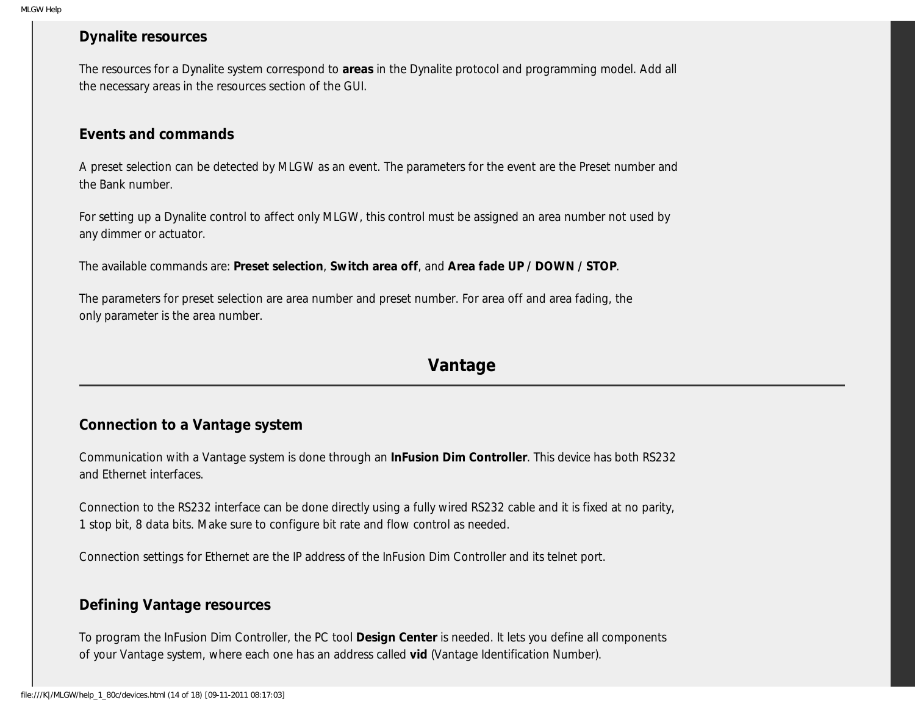### **Dynalite resources**

The resources for a Dynalite system correspond to **areas** in the Dynalite protocol and programming model. Add all the necessary areas in the resources section of the GUI.

### **Events and commands**

A preset selection can be detected by MLGW as an event. The parameters for the event are the Preset number and the Bank number.

For setting up a Dynalite control to affect only MLGW, this control must be assigned an area number not used by any dimmer or actuator.

The available commands are: **Preset selection**, **Switch area off**, and **Area fade UP / DOWN / STOP**.

<span id="page-36-0"></span>The parameters for preset selection are area number and preset number. For area off and area fading, the only parameter is the area number.

# **Vantage**

## **Connection to a Vantage system**

Communication with a Vantage system is done through an **InFusion Dim Controller**. This device has both RS232 and Ethernet interfaces.

Connection to the RS232 interface can be done directly using a fully wired RS232 cable and it is fixed at no parity, 1 stop bit, 8 data bits. Make sure to configure bit rate and flow control as needed.

Connection settings for Ethernet are the IP address of the InFusion Dim Controller and its telnet port.

### **Defining Vantage resources**

To program the InFusion Dim Controller, the PC tool **Design Center** is needed. It lets you define all components of your Vantage system, where each one has an address called **vid** (Vantage Identification Number).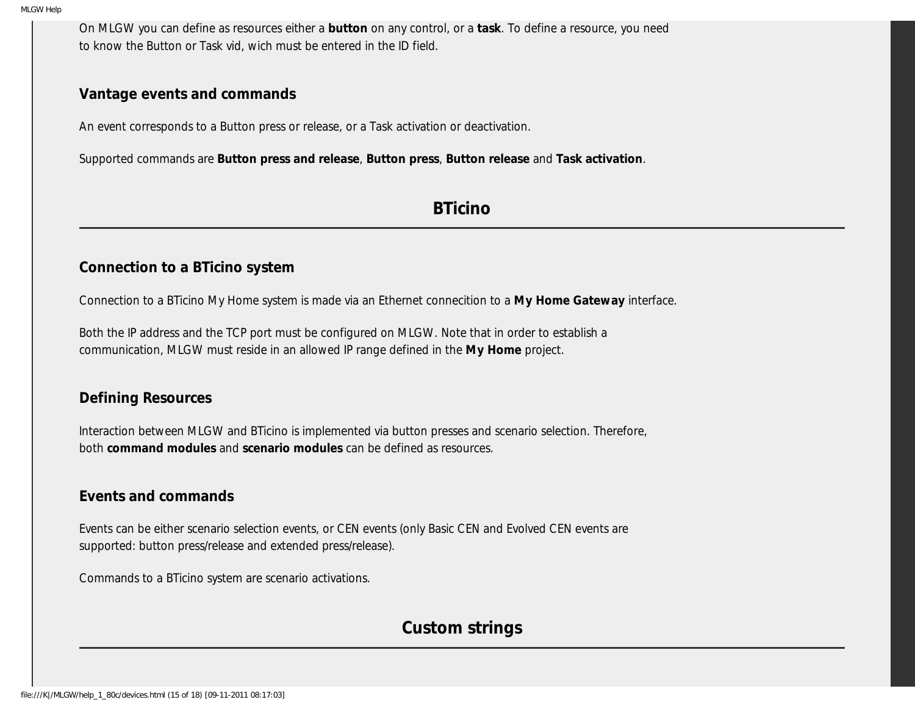On MLGW you can define as resources either a **button** on any control, or a **task**. To define a resource, you need to know the Button or Task vid, wich must be entered in the ID field.

### **Vantage events and commands**

An event corresponds to a Button press or release, or a Task activation or deactivation.

<span id="page-37-1"></span>Supported commands are **Button press and release**, **Button press**, **Button release** and **Task activation**.

## **BTicino**

### **Connection to a BTicino system**

Connection to a BTicino My Home system is made via an Ethernet connecition to a **My Home Gateway** interface.

Both the IP address and the TCP port must be configured on MLGW. Note that in order to establish a communication, MLGW must reside in an allowed IP range defined in the **My Home** project.

### **Defining Resources**

Interaction between MLGW and BTicino is implemented via button presses and scenario selection. Therefore, both **command modules** and **scenario modules** can be defined as resources.

### **Events and commands**

Events can be either scenario selection events, or CEN events (only Basic CEN and Evolved CEN events are supported: button press/release and extended press/release).

<span id="page-37-0"></span>Commands to a BTicino system are scenario activations.

## **Custom strings**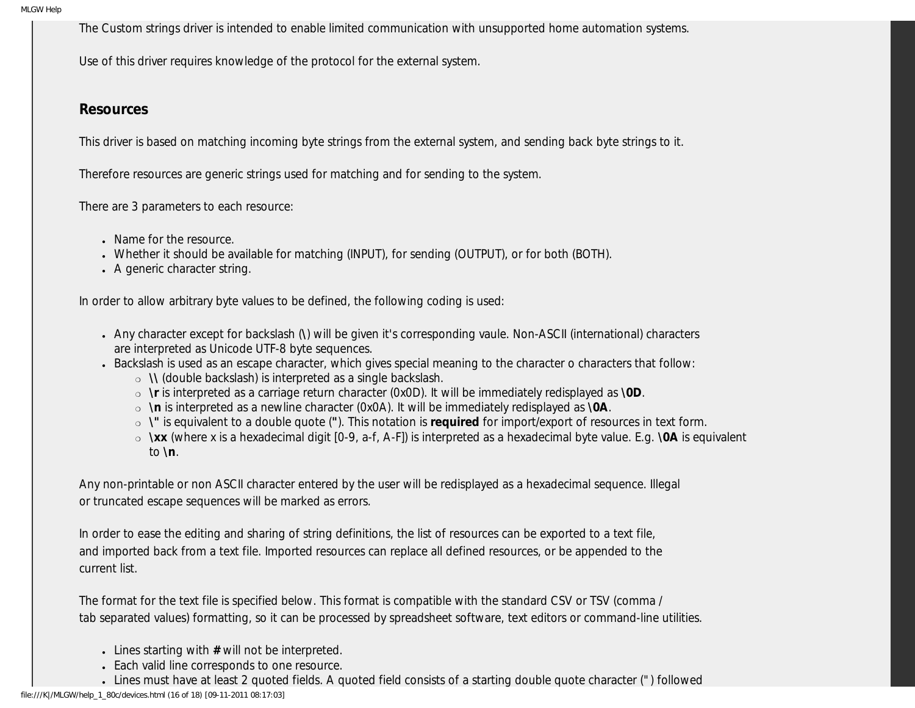The Custom strings driver is intended to enable limited communication with unsupported home automation systems.

Use of this driver requires knowledge of the protocol for the external system.

#### **Resources**

This driver is based on matching incoming byte strings from the external system, and sending back byte strings to it.

Therefore resources are generic strings used for matching and for sending to the system.

There are 3 parameters to each resource:

- Name for the resource.
- Whether it should be available for matching (INPUT), for sending (OUTPUT), or for both (BOTH).
- A generic character string.

In order to allow arbitrary byte values to be defined, the following coding is used:

- Any character except for backslash (**\**) will be given it's corresponding vaule. Non-ASCII (international) characters are interpreted as Unicode UTF-8 byte sequences.
- Backslash is used as an escape character, which gives special meaning to the character o characters that follow:
	- ❍ **\\** (double backslash) is interpreted as a single backslash.
	- ❍ **\r** is interpreted as a carriage return character (0x0D). It will be immediately redisplayed as **\0D**.
	- ❍ **\n** is interpreted as a newline character (0x0A). It will be immediately redisplayed as **\0A**.
	- ❍ **\"** is equivalent to a double quote (**"**). This notation is **required** for import/export of resources in text form.
	- ❍ **\xx** (where x is a hexadecimal digit [0-9, a-f, A-F]) is interpreted as a hexadecimal byte value. E.g. **\0A** is equivalent to **\n**.

Any non-printable or non ASCII character entered by the user will be redisplayed as a hexadecimal sequence. Illegal or truncated escape sequences will be marked as errors.

In order to ease the editing and sharing of string definitions, the list of resources can be exported to a text file, and imported back from a text file. Imported resources can replace all defined resources, or be appended to the current list.

The format for the text file is specified below. This format is compatible with the standard CSV or TSV (comma / tab separated values) formatting, so it can be processed by spreadsheet software, text editors or command-line utilities.

- Lines starting with **#** will not be interpreted.
- Each valid line corresponds to one resource.
- Lines must have at least 2 quoted fields. A quoted field consists of a starting double quote character (") followed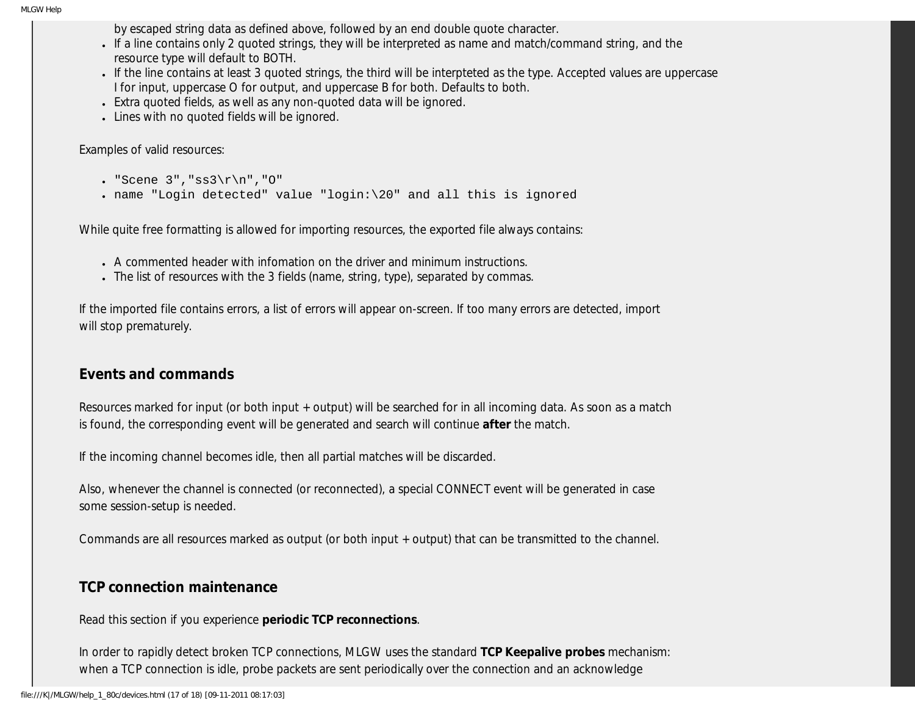```
MLGW Help
```
by escaped string data as defined above, followed by an end double quote character.

- If a line contains only 2 quoted strings, they will be interpreted as name and match/command string, and the resource type will default to BOTH.
- If the line contains at least 3 quoted strings, the third will be interpteted as the type. Accepted values are uppercase I for input, uppercase O for output, and uppercase B for both. Defaults to both.
- Extra quoted fields, as well as any non-quoted data will be ignored.
- Lines with no quoted fields will be ignored.

Examples of valid resources:

- "Scene  $3$ ", "ss $3\r\n'\n''$
- name "Login detected" value "login:\20" and all this is ignored

While quite free formatting is allowed for importing resources, the exported file always contains:

- A commented header with infomation on the driver and minimum instructions.
- The list of resources with the 3 fields (name, string, type), separated by commas.

If the imported file contains errors, a list of errors will appear on-screen. If too many errors are detected, import will stop prematurely.

### **Events and commands**

Resources marked for input (or both input + output) will be searched for in all incoming data. As soon as a match is found, the corresponding event will be generated and search will continue **after** the match.

If the incoming channel becomes idle, then all partial matches will be discarded.

Also, whenever the channel is connected (or reconnected), a special CONNECT event will be generated in case some session-setup is needed.

Commands are all resources marked as output (or both input + output) that can be transmitted to the channel.

### **TCP connection maintenance**

Read this section if you experience **periodic TCP reconnections**.

In order to rapidly detect broken TCP connections, MLGW uses the standard **TCP Keepalive probes** mechanism: when a TCP connection is idle, probe packets are sent periodically over the connection and an acknowledge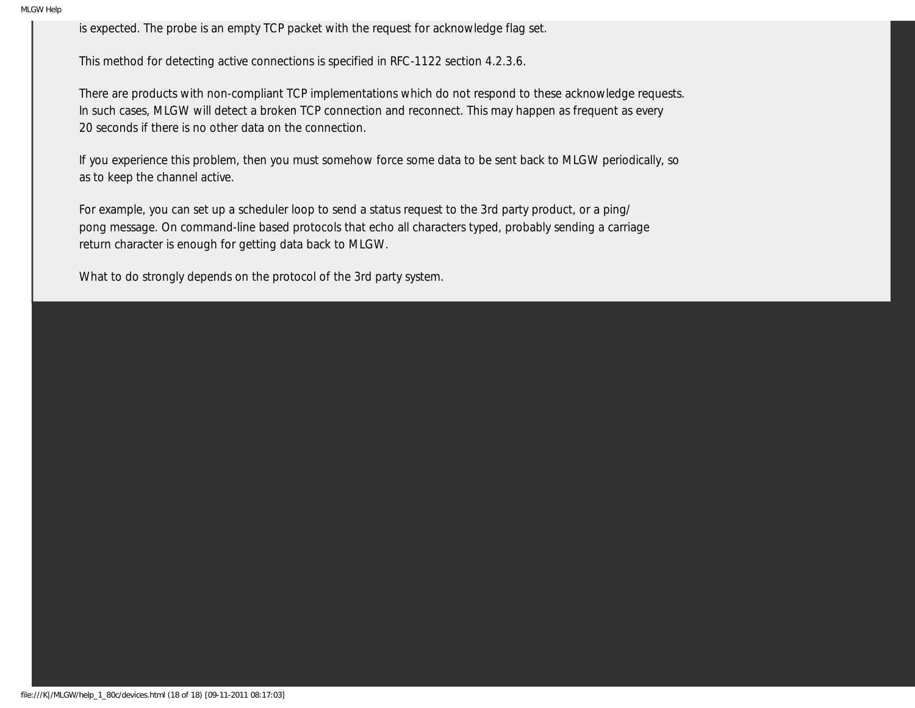is expected. The probe is an empty TCP packet with the request for acknowledge flag set.

This method for detecting active connections is specified in RFC-1122 section 4.2.3.6.

There are products with non-compliant TCP implementations which do not respond to these acknowledge requests. In such cases, MLGW will detect a broken TCP connection and reconnect. This may happen as frequent as every 20 seconds if there is no other data on the connection.

If you experience this problem, then you must somehow force some data to be sent back to MLGW periodically, so as to keep the channel active.

For example, you can set up a scheduler loop to send a status request to the 3rd party product, or a ping/ pong message. On command-line based protocols that echo all characters typed, probably sending a carriage return character is enough for getting data back to MLGW.

What to do strongly depends on the protocol of the 3rd party system.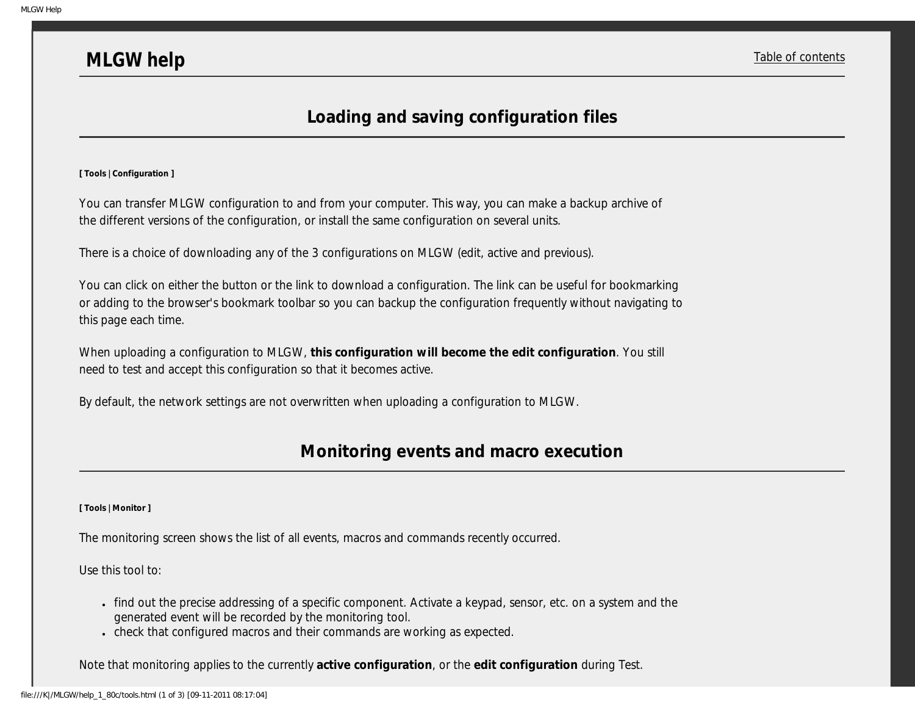## **Loading and saving configuration files**

<span id="page-41-1"></span><span id="page-41-0"></span>**[ Tools | Configuration ]**

You can transfer MLGW configuration to and from your computer. This way, you can make a backup archive of the different versions of the configuration, or install the same configuration on several units.

There is a choice of downloading any of the 3 configurations on MLGW (edit, active and previous).

You can click on either the button or the link to download a configuration. The link can be useful for bookmarking or adding to the browser's bookmark toolbar so you can backup the configuration frequently without navigating to this page each time.

When uploading a configuration to MLGW, **this configuration will become the edit configuration**. You still need to test and accept this configuration so that it becomes active.

<span id="page-41-2"></span>By default, the network settings are not overwritten when uploading a configuration to MLGW.

## **Monitoring events and macro execution**

#### **[ Tools | Monitor ]**

The monitoring screen shows the list of all events, macros and commands recently occurred.

Use this tool to:

- find out the precise addressing of a specific component. Activate a keypad, sensor, etc. on a system and the generated event will be recorded by the monitoring tool.
- check that configured macros and their commands are working as expected.

Note that monitoring applies to the currently **active configuration**, or the **edit configuration** during Test.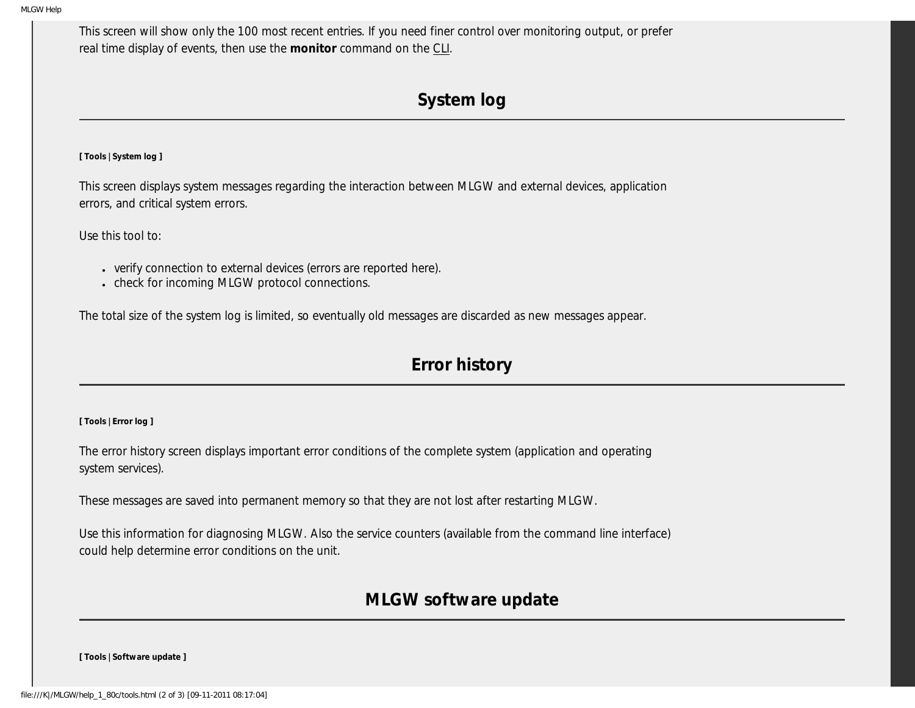<span id="page-42-0"></span>This screen will show only the 100 most recent entries. If you need finer control over monitoring output, or prefer real time display of events, then use the **monitor** command on the [CLI.](#page-46-0)

## **System log**

#### **[ Tools | System log ]**

This screen displays system messages regarding the interaction between MLGW and external devices, application errors, and critical system errors.

Use this tool to:

- verify connection to external devices (errors are reported here).
- check for incoming MLGW protocol connections.

<span id="page-42-1"></span>The total size of the system log is limited, so eventually old messages are discarded as new messages appear.

## **Error history**

#### **[ Tools | Error log ]**

The error history screen displays important error conditions of the complete system (application and operating system services).

These messages are saved into permanent memory so that they are not lost after restarting MLGW.

<span id="page-42-2"></span>Use this information for diagnosing MLGW. Also the service counters (available from the command line interface) could help determine error conditions on the unit.

## **MLGW software update**

**[ Tools | Software update ]**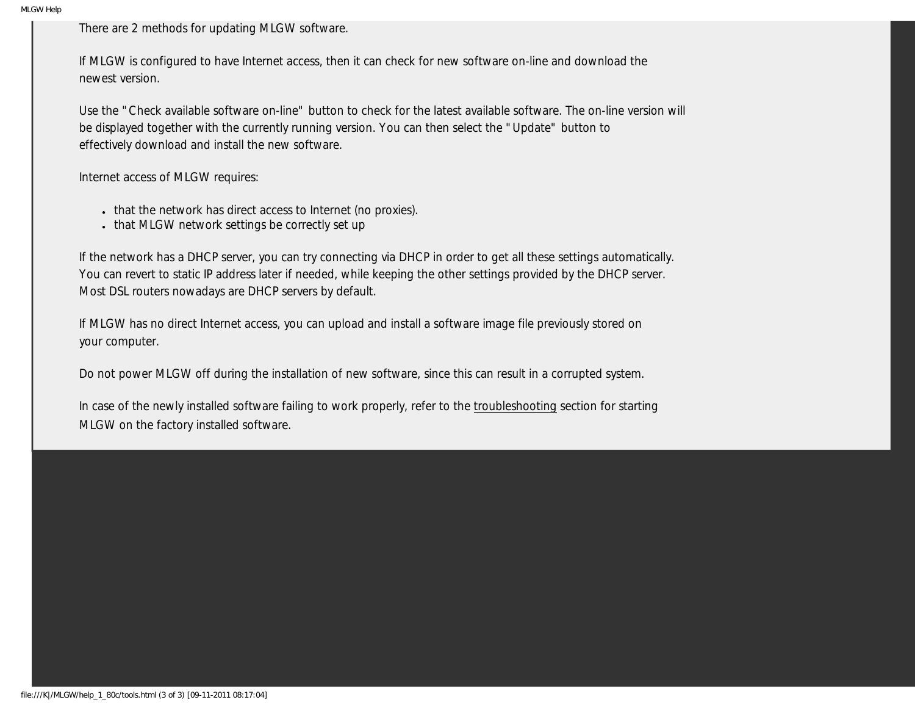There are 2 methods for updating MLGW software.

If MLGW is configured to have Internet access, then it can check for new software on-line and download the newest version.

Use the "Check available software on-line" button to check for the latest available software. The on-line version will be displayed together with the currently running version. You can then select the "Update" button to effectively download and install the new software.

Internet access of MLGW requires:

- that the network has direct access to Internet (no proxies).
- that MLGW network settings be correctly set up

If the network has a DHCP server, you can try connecting via DHCP in order to get all these settings automatically. You can revert to static IP address later if needed, while keeping the other settings provided by the DHCP server. Most DSL routers nowadays are DHCP servers by default.

If MLGW has no direct Internet access, you can upload and install a software image file previously stored on your computer.

Do not power MLGW off during the installation of new software, since this can result in a corrupted system.

In case of the newly installed software failing to work properly, refer to the [troubleshooting](#page-52-0) section for starting MLGW on the factory installed software.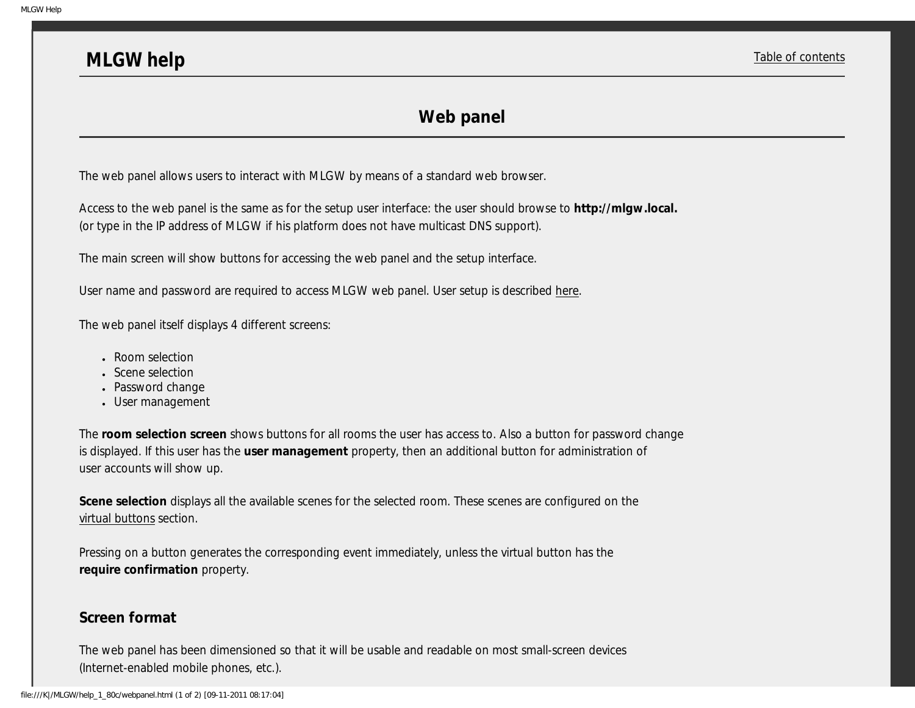### **Web panel**

<span id="page-44-0"></span>The web panel allows users to interact with MLGW by means of a standard web browser.

Access to the web panel is the same as for the setup user interface: the user should browse to **http://mlgw.local.** (or type in the IP address of MLGW if his platform does not have multicast DNS support).

The main screen will show buttons for accessing the web panel and the setup interface.

User name and password are required to access MLGW web panel. User setup is described [here.](#page-12-0)

The web panel itself displays 4 different screens:

- . Room selection
- Scene selection
- Password change
- User management

The **room selection screen** shows buttons for all rooms the user has access to. Also a button for password change is displayed. If this user has the **user management** property, then an additional button for administration of user accounts will show up.

**Scene selection** displays all the available scenes for the selected room. These scenes are configured on the [virtual buttons](#page-21-0) section.

Pressing on a button generates the corresponding event immediately, unless the virtual button has the **require confirmation** property.

### **Screen format**

The web panel has been dimensioned so that it will be usable and readable on most small-screen devices (Internet-enabled mobile phones, etc.).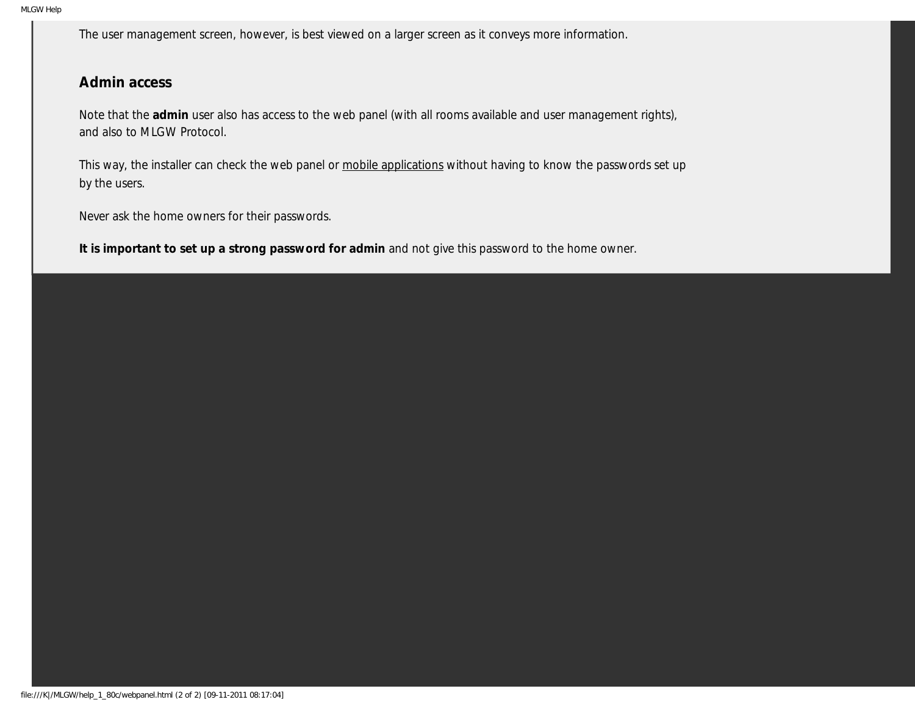The user management screen, however, is best viewed on a larger screen as it conveys more information.

### **Admin access**

Note that the **admin** user also has access to the web panel (with all rooms available and user management rights), and also to MLGW Protocol.

This way, the installer can check the web panel or [mobile applications](#page-20-0) without having to know the passwords set up by the users.

Never ask the home owners for their passwords.

**It is important to set up a strong password for admin** and not give this password to the home owner.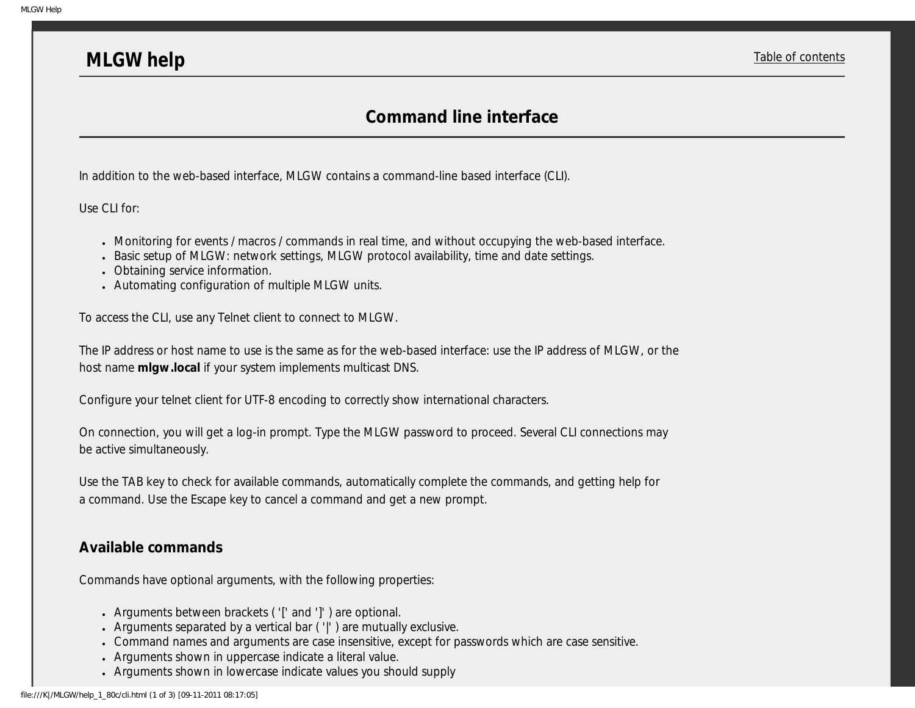### **Command line interface**

<span id="page-46-0"></span>In addition to the web-based interface, MLGW contains a command-line based interface (CLI).

Use CLI for:

- Monitoring for events / macros / commands in real time, and without occupying the web-based interface.
- Basic setup of MLGW: network settings, MLGW protocol availability, time and date settings.
- Obtaining service information.
- Automating configuration of multiple MLGW units.

To access the CLI, use any Telnet client to connect to MLGW.

The IP address or host name to use is the same as for the web-based interface: use the IP address of MLGW, or the host name **mlgw.local** if your system implements multicast DNS.

Configure your telnet client for UTF-8 encoding to correctly show international characters.

On connection, you will get a log-in prompt. Type the MLGW password to proceed. Several CLI connections may be active simultaneously.

Use the TAB key to check for available commands, automatically complete the commands, and getting help for a command. Use the Escape key to cancel a command and get a new prompt.

### **Available commands**

Commands have optional arguments, with the following properties:

- Arguments between brackets ('[' and ']' ) are optional.
- Arguments separated by a vertical bar ('|') are mutually exclusive.
- Command names and arguments are case insensitive, except for passwords which are case sensitive.
- Arguments shown in uppercase indicate a literal value.
- Arguments shown in lowercase indicate values you should supply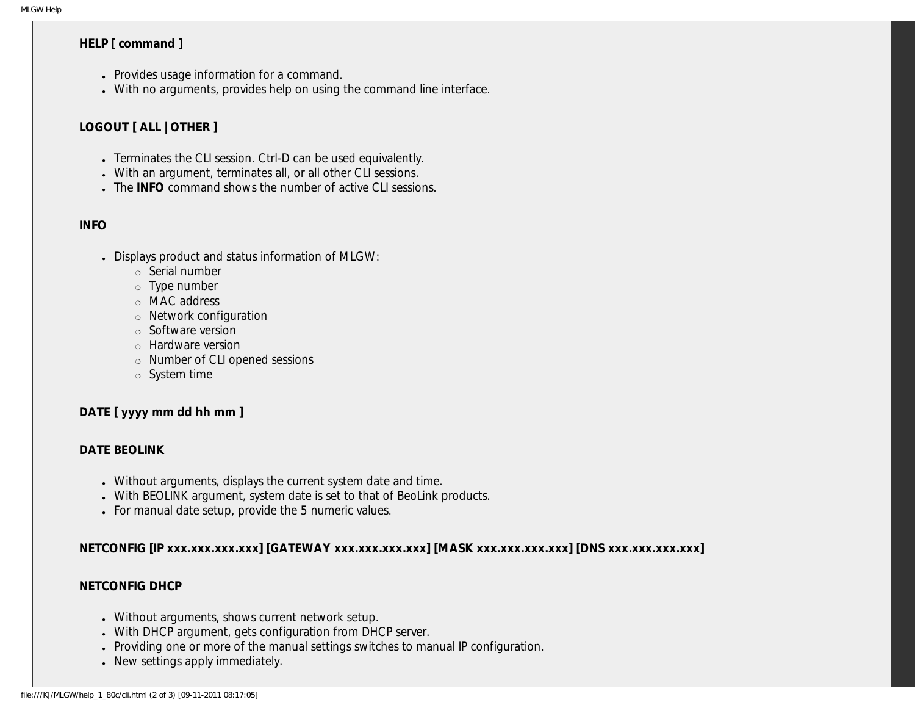#### **HELP [ command ]**

- Provides usage information for a command.
- With no arguments, provides help on using the command line interface.

### **LOGOUT [ ALL | OTHER ]**

- Terminates the CLI session. Ctrl-D can be used equivalently.
- With an argument, terminates all, or all other CLI sessions.
- The **INFO** command shows the number of active CLI sessions.

#### **INFO**

- Displays product and status information of MLGW:
	- ❍ Serial number
	- ❍ Type number
	- ❍ MAC address
	- ❍ Network configuration
	- ❍ Software version
	- ❍ Hardware version
	- ❍ Number of CLI opened sessions
	- ❍ System time

### **DATE [ yyyy mm dd hh mm ]**

#### **DATE BEOLINK**

- Without arguments, displays the current system date and time.
- With BEOLINK argument, system date is set to that of BeoLink products.
- For manual date setup, provide the 5 numeric values.

#### **NETCONFIG [IP xxx.xxx.xxx.xxx] [GATEWAY xxx.xxx.xxx.xxx] [MASK xxx.xxx.xxx.xxx] [DNS xxx.xxx.xxx.xxx]**

#### **NETCONFIG DHCP**

- Without arguments, shows current network setup.
- With DHCP argument, gets configuration from DHCP server.
- Providing one or more of the manual settings switches to manual IP configuration.
- New settings apply immediately.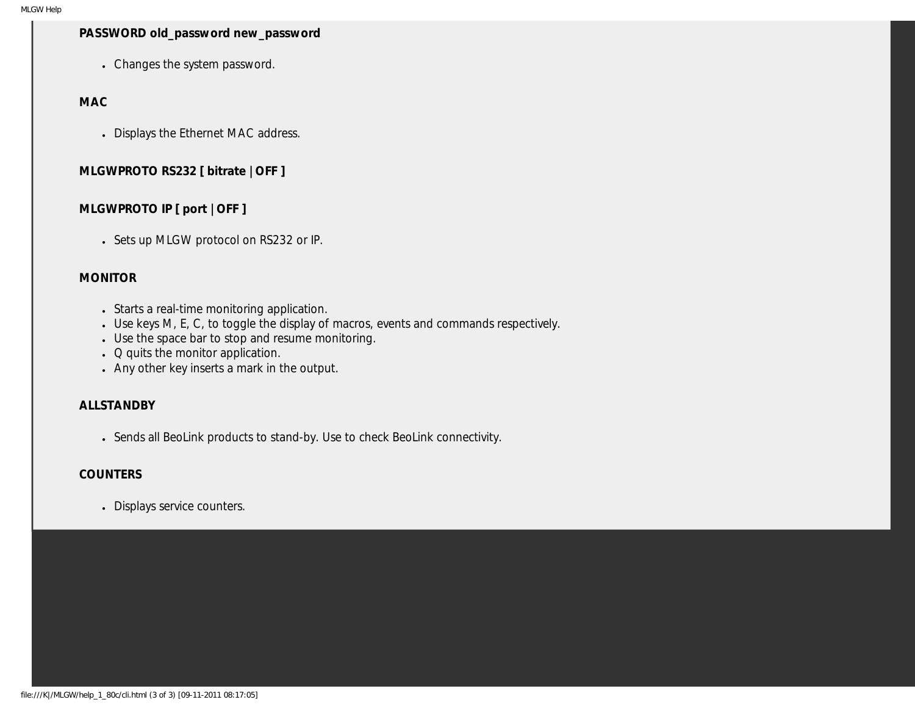### **PASSWORD old\_password new\_password**

• Changes the system password.

#### **MAC**

• Displays the Ethernet MAC address.

### **MLGWPROTO RS232 [ bitrate | OFF ]**

### **MLGWPROTO IP [ port | OFF ]**

• Sets up MLGW protocol on RS232 or IP.

### **MONITOR**

- Starts a real-time monitoring application.
- Use keys M, E, C, to toggle the display of macros, events and commands respectively.
- Use the space bar to stop and resume monitoring.
- $\bullet$  Q quits the monitor application.
- Any other key inserts a mark in the output.

### **ALLSTANDBY**

- Sends all BeoLink products to stand-by. Use to check BeoLink connectivity.

### **COUNTERS**

• Displays service counters.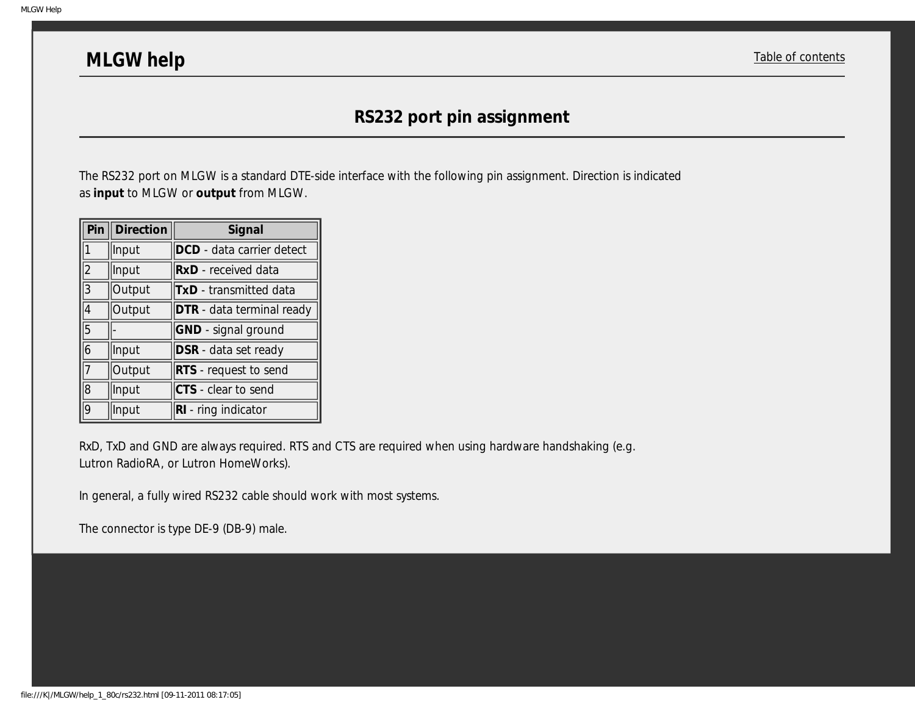## **RS232 port pin assignment**

<span id="page-49-0"></span>The RS232 port on MLGW is a standard DTE-side interface with the following pin assignment. Direction is indicated as **input** to MLGW or **output** from MLGW.

|                 | $\text{Pin}$ Direction | Signal                           |
|-----------------|------------------------|----------------------------------|
|                 | Input                  | DCD - data carrier detect        |
| 2               | Input                  | RxD - received data              |
| $\overline{3}$  | Output                 | TxD - transmitted data           |
| $\vert 4 \vert$ | Output                 | <b>DTR</b> - data terminal ready |
| $\overline{5}$  |                        | <b>GND</b> - signal ground       |
| 6               | Input                  | <b>DSR</b> - data set ready      |
| 7               | Output                 | RTS - request to send            |
| $\overline{8}$  | Input                  | CTS - clear to send              |
| 9               | Input                  | <b>RI</b> - ring indicator       |

RxD, TxD and GND are always required. RTS and CTS are required when using hardware handshaking (e.g. Lutron RadioRA, or Lutron HomeWorks).

In general, a fully wired RS232 cable should work with most systems.

The connector is type DE-9 (DB-9) male.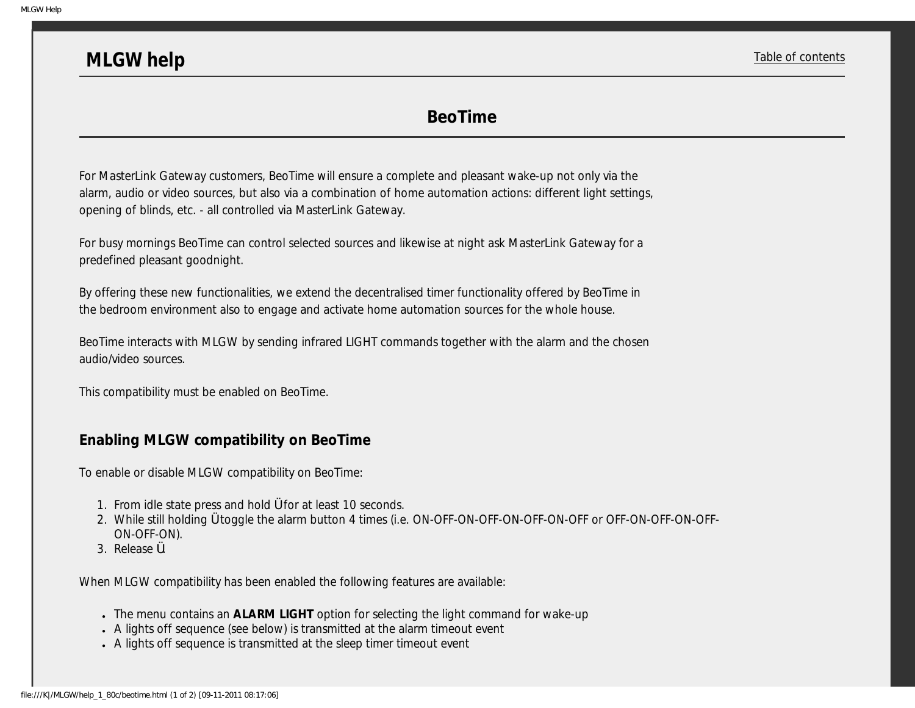### **BeoTime**

<span id="page-50-0"></span>For MasterLink Gateway customers, BeoTime will ensure a complete and pleasant wake-up not only via the alarm, audio or video sources, but also via a combination of home automation actions: different light settings, opening of blinds, etc. - all controlled via MasterLink Gateway.

For busy mornings BeoTime can control selected sources and likewise at night ask MasterLink Gateway for a predefined pleasant goodnight.

By offering these new functionalities, we extend the decentralised timer functionality offered by BeoTime in the bedroom environment also to engage and activate home automation sources for the whole house.

BeoTime interacts with MLGW by sending infrared LIGHT commands together with the alarm and the chosen audio/video sources.

This compatibility must be enabled on BeoTime.

### **Enabling MLGW compatibility on BeoTime**

To enable or disable MLGW compatibility on BeoTime:

- 1. From idle state press and hold ö for at least 10 seconds.
- 2. While still holding ö toggle the alarm button 4 times (i.e. ON-OFF-ON-OFF-ON-OFF-ON-OFF or OFF-ON-OFF-ON-OFF-ON-OFF-ON).
- 3. Release Ü.

When MLGW compatibility has been enabled the following features are available:

- The menu contains an **ALARM LIGHT** option for selecting the light command for wake-up
- A lights off sequence (see below) is transmitted at the alarm timeout event
- A lights off sequence is transmitted at the sleep timer timeout event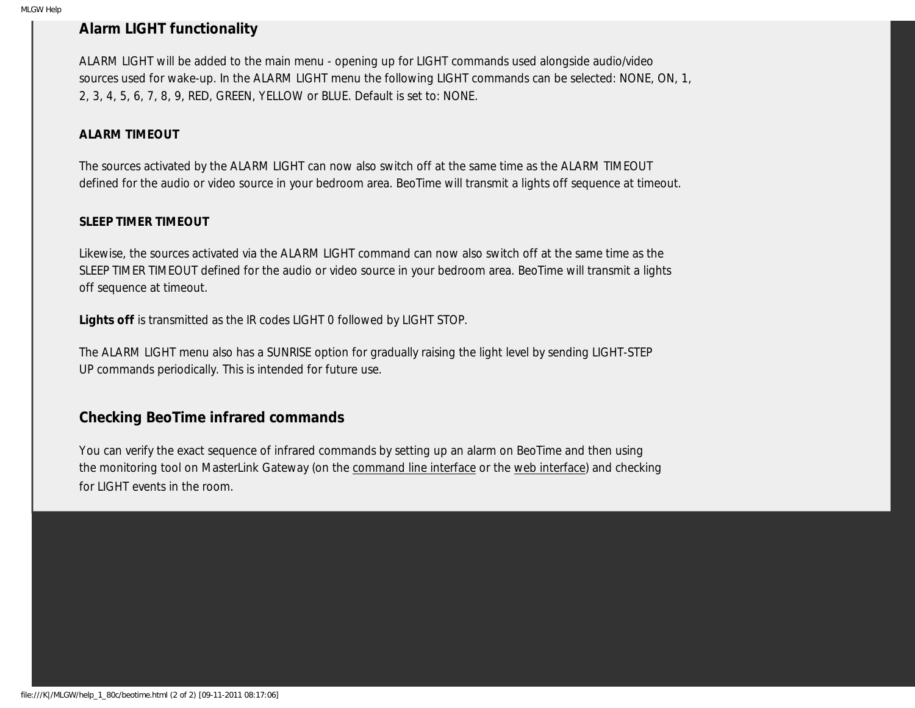### **Alarm LIGHT functionality**

ALARM LIGHT will be added to the main menu - opening up for LIGHT commands used alongside audio/video sources used for wake-up. In the ALARM LIGHT menu the following LIGHT commands can be selected: NONE, ON, 1, 2, 3, 4, 5, 6, 7, 8, 9, RED, GREEN, YELLOW or BLUE. Default is set to: NONE.

#### **ALARM TIMEOUT**

The sources activated by the ALARM LIGHT can now also switch off at the same time as the ALARM TIMEOUT defined for the audio or video source in your bedroom area. BeoTime will transmit a lights off sequence at timeout.

#### **SLEEP TIMER TIMEOUT**

Likewise, the sources activated via the ALARM LIGHT command can now also switch off at the same time as the SLEEP TIMER TIMEOUT defined for the audio or video source in your bedroom area. BeoTime will transmit a lights off sequence at timeout.

**Lights off** is transmitted as the IR codes LIGHT 0 followed by LIGHT STOP.

The ALARM LIGHT menu also has a SUNRISE option for gradually raising the light level by sending LIGHT-STEP UP commands periodically. This is intended for future use.

### **Checking BeoTime infrared commands**

You can verify the exact sequence of infrared commands by setting up an alarm on BeoTime and then using the monitoring tool on MasterLink Gateway (on the [command line interface](#page-46-0) or the [web interface\)](#page-41-2) and checking for LIGHT events in the room.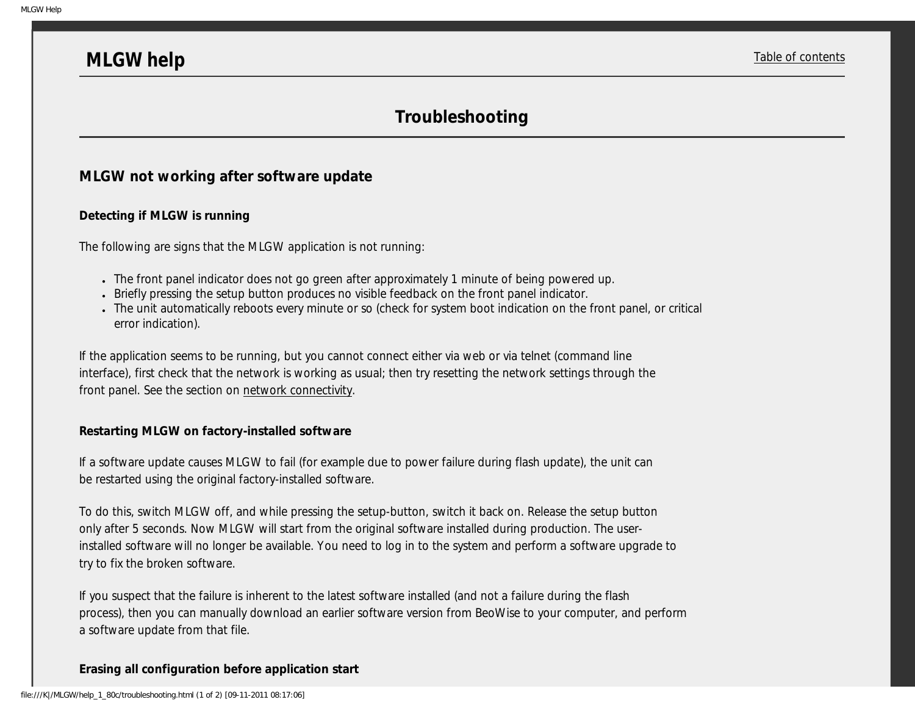## **Troubleshooting**

### <span id="page-52-0"></span>**MLGW not working after software update**

#### **Detecting if MLGW is running**

The following are signs that the MLGW application is not running:

- The front panel indicator does not go green after approximately 1 minute of being powered up.
- Briefly pressing the setup button produces no visible feedback on the front panel indicator.
- The unit automatically reboots every minute or so (check for system boot indication on the front panel, or critical error indication).

If the application seems to be running, but you cannot connect either via web or via telnet (command line interface), first check that the network is working as usual; then try resetting the network settings through the front panel. See the section on [network connectivity.](#page-8-0)

#### **Restarting MLGW on factory-installed software**

If a software update causes MLGW to fail (for example due to power failure during flash update), the unit can be restarted using the original factory-installed software.

To do this, switch MLGW off, and while pressing the setup-button, switch it back on. Release the setup button only after 5 seconds. Now MLGW will start from the original software installed during production. The userinstalled software will no longer be available. You need to log in to the system and perform a software upgrade to try to fix the broken software.

If you suspect that the failure is inherent to the latest software installed (and not a failure during the flash process), then you can manually download an earlier software version from BeoWise to your computer, and perform a software update from that file.

#### **Erasing all configuration before application start**